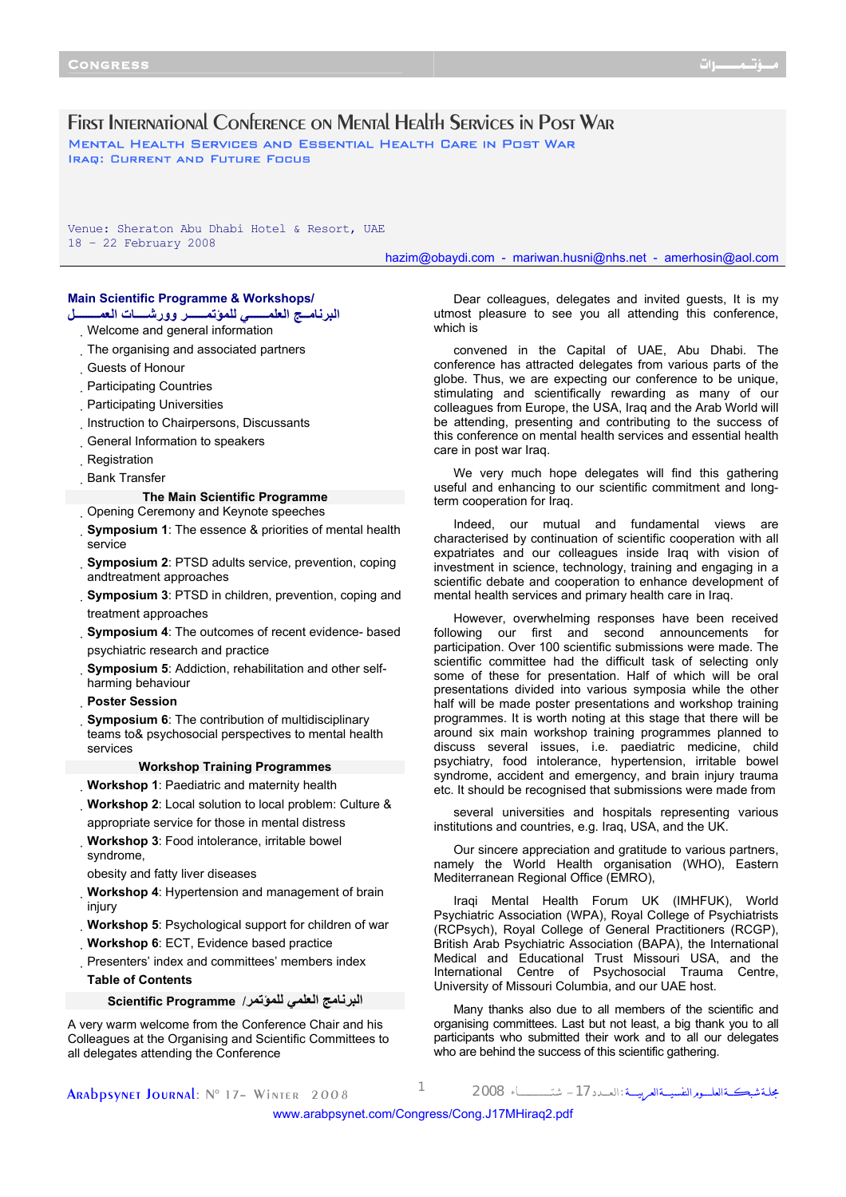# First International Conference on Mental Health Services in Post War Mental Health Services and Essential Health Care in Post War Iraq: Current and Future Focus

Venue: Sheraton Abu Dhabi Hotel & Resort, UAE 18 – 22 February 2008

hazim@obaydi.com - mariwan.husni@nhs.net - amerhosin@aol.com

## **Main Scientific Programme & Workshops/**

information general and Welcome **البرنامــج العلمــــــي للمؤتمــــــر وورشــــات العمــــــــل**

- 
- The organising and associated partners
- Guests of Honour
- Participating Countries
- Participating Universities
- Instruction to Chairpersons, Discussants
- General Information to speakers
- Registration
- Bank Transfer

# **The Main Scientific Programme**

Opening Ceremony and Keynote speeches

**Symposium 1**: The essence & priorities of mental health service

- **Symposium 2**: PTSD adults service, prevention, coping andtreatment approaches
- **Symposium 3: PTSD in children, prevention, coping and** treatment approaches
- **Symposium 4**: The outcomes of recent evidence- based psychiatric research and practice
- **Symposium 5**: Addiction, rehabilitation and other selfharming behaviour
- **Poster Session**
- **Symposium 6**: The contribution of multidisciplinary teams to& psychosocial perspectives to mental health services

### **Workshop Training Programmes**

**Workshop 1**: Paediatric and maternity health

**Workshop 2**: Local solution to local problem: Culture & appropriate service for those in mental distress

- **Workshop 3**: Food intolerance, irritable bowel syndrome,
- obesity and fatty liver diseases

**Workshop 4**: Hypertension and management of brain injury

**Workshop 5**: Psychological support for children of war **Workshop 6**: ECT, Evidence based practice

Presenters' index and committees' members index **Table of Contents** 

**البرنامج العلمي للمؤتمر**/ **Programme Scientific**

A very warm welcome from the Conference Chair and his Colleagues at the Organising and Scientific Committees to all delegates attending the Conference

Dear colleagues, delegates and invited guests, It is my utmost pleasure to see you all attending this conference, which is

convened in the Capital of UAE, Abu Dhabi. The conference has attracted delegates from various parts of the globe. Thus, we are expecting our conference to be unique, stimulating and scientifically rewarding as many of our colleagues from Europe, the USA, Iraq and the Arab World will be attending, presenting and contributing to the success of this conference on mental health services and essential health care in post war Iraq.

We very much hope delegates will find this gathering useful and enhancing to our scientific commitment and longterm cooperation for Iraq.

Indeed, our mutual and fundamental views are characterised by continuation of scientific cooperation with all expatriates and our colleagues inside Iraq with vision of investment in science, technology, training and engaging in a scientific debate and cooperation to enhance development of mental health services and primary health care in Iraq.

However, overwhelming responses have been received following our first and second announcements for participation. Over 100 scientific submissions were made. The scientific committee had the difficult task of selecting only some of these for presentation. Half of which will be oral presentations divided into various symposia while the other half will be made poster presentations and workshop training programmes. It is worth noting at this stage that there will be around six main workshop training programmes planned to discuss several issues, i.e. paediatric medicine, child psychiatry, food intolerance, hypertension, irritable bowel syndrome, accident and emergency, and brain injury trauma etc. It should be recognised that submissions were made from

several universities and hospitals representing various institutions and countries, e.g. Iraq, USA, and the UK.

Our sincere appreciation and gratitude to various partners, namely the World Health organisation (WHO), Eastern Mediterranean Regional Office (EMRO),

Iraqi Mental Health Forum UK (IMHFUK), World Psychiatric Association (WPA), Royal College of Psychiatrists (RCPsych), Royal College of General Practitioners (RCGP), British Arab Psychiatric Association (BAPA), the International Medical and Educational Trust Missouri USA, and the International Centre of Psychosocial Trauma Centre, University of Missouri Columbia, and our UAE host.

Many thanks also due to all members of the scientific and organising committees. Last but not least, a big thank you to all participants who submitted their work and to all our delegates who are behind the success of this scientific gathering.

مجلــة شبكـــةالعلــــــومالنفسيــــةالعربيـــــة :الـعــــدد-<sup>17</sup> شتــــــــــــــــــــاء <sup>2008</sup> <sup>1</sup> 2008 Winter– <sup>17</sup> °N :Journal Arabpsynet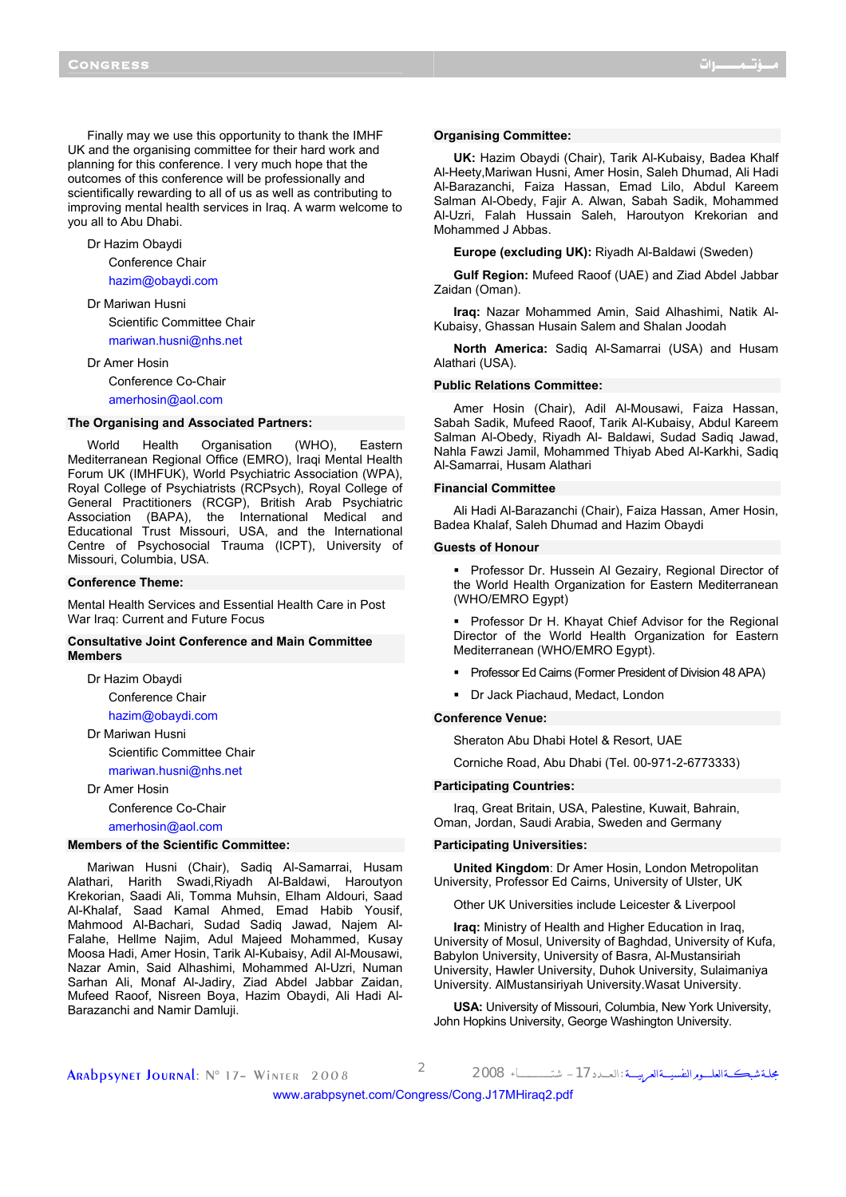Finally may we use this opportunity to thank the IMHF UK and the organising committee for their hard work and planning for this conference. I very much hope that the outcomes of this conference will be professionally and scientifically rewarding to all of us as well as contributing to improving mental health services in Iraq. A warm welcome to you all to Abu Dhabi.

Dr Hazim Obaydi

Conference Chair hazim@obaydi.com

- Dr Mariwan Husni Scientific Committee Chair mariwan.husni@nhs.net
- Dr Amer Hosin Conference Co-Chair amerhosin@aol.com

#### **The Organising and Associated Partners:**

World Health Organisation (WHO), Eastern Mediterranean Regional Office (EMRO), Iraqi Mental Health Forum UK (IMHFUK), World Psychiatric Association (WPA), Royal College of Psychiatrists (RCPsych), Royal College of General Practitioners (RCGP), British Arab Psychiatric Association (BAPA), the International Medical and Educational Trust Missouri, USA, and the International Centre of Psychosocial Trauma (ICPT), University of Missouri, Columbia, USA.

#### **Conference Theme:**

Mental Health Services and Essential Health Care in Post War Iraq: Current and Future Focus

## **Consultative Joint Conference and Main Committee Members**

Dr Hazim Obaydi

Conference Chair

hazim@obaydi.com

Dr Mariwan Husni Scientific Committee Chair mariwan.husni@nhs.net

Dr Amer Hosin

Conference Co-Chair

amerhosin@aol.com

### **Members of the Scientific Committee:**

Mariwan Husni (Chair), Sadiq Al-Samarrai, Husam Alathari, Harith Swadi,Riyadh Al-Baldawi, Haroutyon Krekorian, Saadi Ali, Tomma Muhsin, Elham Aldouri, Saad Al-Khalaf, Saad Kamal Ahmed, Emad Habib Yousif, Mahmood Al-Bachari, Sudad Sadiq Jawad, Najem Al-Falahe, Hellme Najim, Adul Majeed Mohammed, Kusay Moosa Hadi, Amer Hosin, Tarik Al-Kubaisy, Adil Al-Mousawi, Nazar Amin, Said Alhashimi, Mohammed Al-Uzri, Numan Sarhan Ali, Monaf Al-Jadiry, Ziad Abdel Jabbar Zaidan, Mufeed Raoof, Nisreen Boya, Hazim Obaydi, Ali Hadi Al-Barazanchi and Namir Damluji.

#### **Organising Committee:**

**UK:** Hazim Obaydi (Chair), Tarik Al-Kubaisy, Badea Khalf Al-Heety,Mariwan Husni, Amer Hosin, Saleh Dhumad, Ali Hadi Al-Barazanchi, Faiza Hassan, Emad Lilo, Abdul Kareem Salman Al-Obedy, Fajir A. Alwan, Sabah Sadik, Mohammed Al-Uzri, Falah Hussain Saleh, Haroutyon Krekorian and Mohammed J Abbas.

**Europe (excluding UK):** Riyadh Al-Baldawi (Sweden)

**Gulf Region:** Mufeed Raoof (UAE) and Ziad Abdel Jabbar Zaidan (Oman).

**Iraq:** Nazar Mohammed Amin, Said Alhashimi, Natik Al-Kubaisy, Ghassan Husain Salem and Shalan Joodah

**North America:** Sadiq Al-Samarrai (USA) and Husam Alathari (USA).

#### **Public Relations Committee:**

Amer Hosin (Chair), Adil Al-Mousawi, Faiza Hassan, Sabah Sadik, Mufeed Raoof, Tarik Al-Kubaisy, Abdul Kareem Salman Al-Obedy, Riyadh Al- Baldawi, Sudad Sadiq Jawad, Nahla Fawzi Jamil, Mohammed Thiyab Abed Al-Karkhi, Sadiq Al-Samarrai, Husam Alathari

## **Financial Committee**

Ali Hadi Al-Barazanchi (Chair), Faiza Hassan, Amer Hosin, Badea Khalaf, Saleh Dhumad and Hazim Obaydi

#### **Guests of Honour**

**Professor Dr. Hussein AI Gezairy, Regional Director of** the World Health Organization for Eastern Mediterranean (WHO/EMRO Egypt)

 Professor Dr H. Khayat Chief Advisor for the Regional Director of the World Health Organization for Eastern Mediterranean (WHO/EMRO Egypt).

- **Professor Ed Cairns (Former President of Division 48 APA)**
- Dr Jack Piachaud, Medact, London

#### **Conference Venue:**

Sheraton Abu Dhabi Hotel & Resort, UAE

Corniche Road, Abu Dhabi (Tel. 00-971-2-6773333)

## **Participating Countries:**

Iraq, Great Britain, USA, Palestine, Kuwait, Bahrain, Oman, Jordan, Saudi Arabia, Sweden and Germany

### **Participating Universities:**

**United Kingdom**: Dr Amer Hosin, London Metropolitan University, Professor Ed Cairns, University of Ulster, UK

Other UK Universities include Leicester & Liverpool

**Iraq:** Ministry of Health and Higher Education in Iraq, University of Mosul, University of Baghdad, University of Kufa, Babylon University, University of Basra, Al-Mustansiriah University, Hawler University, Duhok University, Sulaimaniya University. AlMustansiriyah University.Wasat University.

**USA:** University of Missouri, Columbia, New York University, John Hopkins University, George Washington University.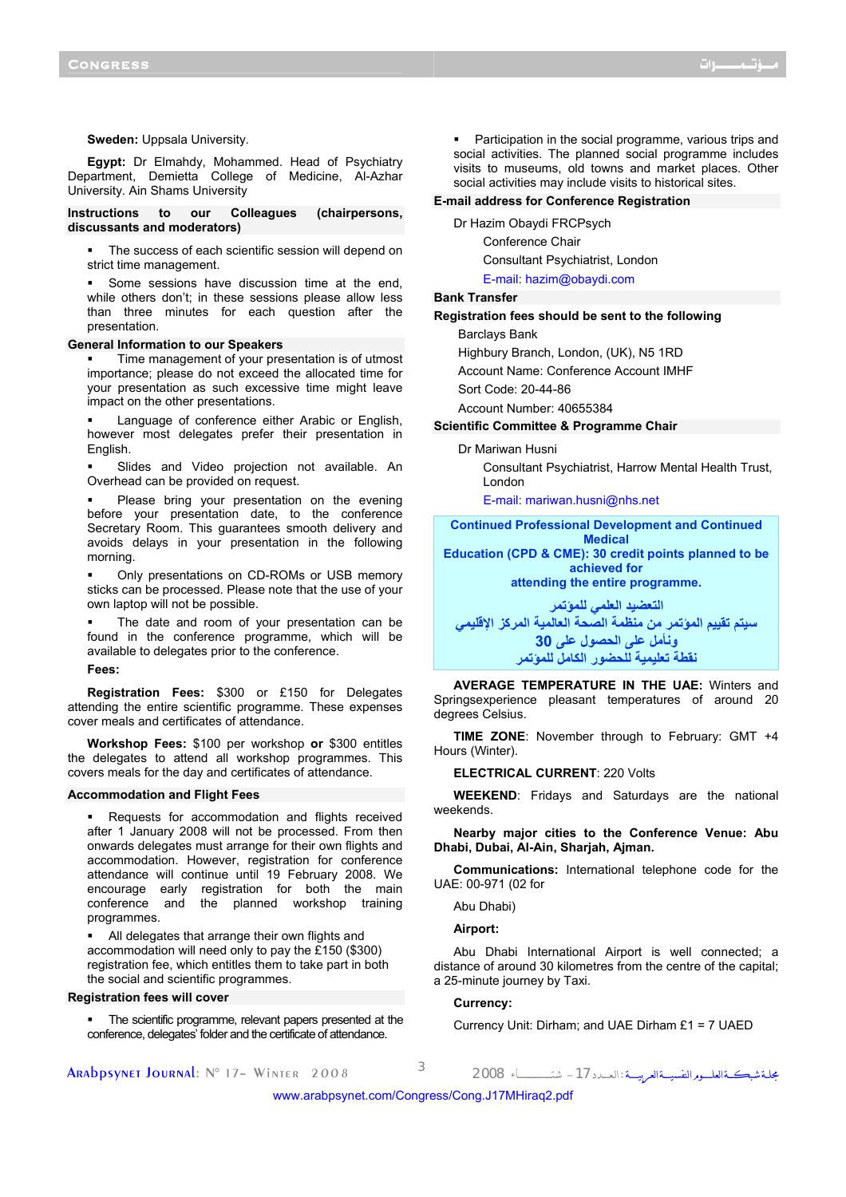#### **Sweden:** Uppsala University.

**Egypt:** Dr Elmahdy, Mohammed. Head of Psychiatry Department, Demietta College of Medicine, Al-Azhar University. Ain Shams University

## **Instructions to our Colleagues (chairpersons, discussants and moderators)**

 The success of each scientific session will depend on strict time management.

 Some sessions have discussion time at the end, while others don't; in these sessions please allow less than three minutes for each question after the presentation.

### **General Information to our Speakers**

 Time management of your presentation is of utmost importance; please do not exceed the allocated time for your presentation as such excessive time might leave impact on the other presentations.

 Language of conference either Arabic or English, however most delegates prefer their presentation in English.

 Slides and Video projection not available. An Overhead can be provided on request.

 Please bring your presentation on the evening before your presentation date, to the conference Secretary Room. This guarantees smooth delivery and avoids delays in your presentation in the following morning.

 Only presentations on CD-ROMs or USB memory sticks can be processed. Please note that the use of your own laptop will not be possible.

 The date and room of your presentation can be found in the conference programme, which will be available to delegates prior to the conference.

**Fees:** 

**Registration Fees:** \$300 or £150 for Delegates attending the entire scientific programme. These expenses cover meals and certificates of attendance.

**Workshop Fees:** \$100 per workshop **or** \$300 entitles the delegates to attend all workshop programmes. This covers meals for the day and certificates of attendance.

## **Accommodation and Flight Fees**

 Requests for accommodation and flights received after 1 January 2008 will not be processed. From then onwards delegates must arrange for their own flights and accommodation. However, registration for conference attendance will continue until 19 February 2008. We encourage early registration for both the main conference and the planned workshop training programmes.

 All delegates that arrange their own flights and accommodation will need only to pay the £150 (\$300) registration fee, which entitles them to take part in both the social and scientific programmes.

#### **Registration fees will cover**

 The scientific programme, relevant papers presented at the conference, delegates' folder and the certificate of attendance.

 Participation in the social programme, various trips and social activities. The planned social programme includes visits to museums, old towns and market places. Other social activities may include visits to historical sites.

#### **E-mail address for Conference Registration**

Dr Hazim Obaydi FRCPsych

Conference Chair

Consultant Psychiatrist, London

E-mail: hazim@obaydi.com

#### **Bank Transfer**

**Registration fees should be sent to the following** 

Barclays Bank

Highbury Branch, London, (UK), N5 1RD

Account Name: Conference Account IMHF

Sort Code: 20-44-86

Account Number: 40655384

### **Scientific Committee & Programme Chair**

#### Dr Mariwan Husni

Consultant Psychiatrist, Harrow Mental Health Trust, London

E-mail: mariwan.husni@nhs.net

**Continued Professional Development and Continued Medical** 

**Education (CPD & CME): 30 credit points planned to be achieved for attending the entire programme.** 

**التعضيد العلمي للمؤتمر سيتم تقييم المؤتمر من منظمة الصحة العالمية المرآز الإقليمي ونأمل على الحصول على 30 نقطة تعليمية للحضور الكامل للمؤتمر**

**AVERAGE TEMPERATURE IN THE UAE:** Winters and Springsexperience pleasant temperatures of around 20 degrees Celsius.

**TIME ZONE**: November through to February: GMT +4 Hours (Winter).

**ELECTRICAL CURRENT**: 220 Volts

**WEEKEND**: Fridays and Saturdays are the national weekends.

**Nearby major cities to the Conference Venue: Abu Dhabi, Dubai, Al-Ain, Sharjah, Ajman.** 

**Communications:** International telephone code for the UAE: 00-971 (02 for

Abu Dhabi)

**Airport:** 

Abu Dhabi International Airport is well connected; a distance of around 30 kilometres from the centre of the capital; a 25-minute journey by Taxi.

### **Currency:**

Currency Unit: Dirham; and UAE Dirham £1 = 7 UAED

مجلــة شبكـــةالعلــــــومالنفسيــــةالعربيـــــة :الـعــــدد-<sup>17</sup> شتــــــــــــــــــــاء <sup>2008</sup> <sup>3</sup> 2008 Winter– <sup>17</sup> °N :Journal Arabpsynet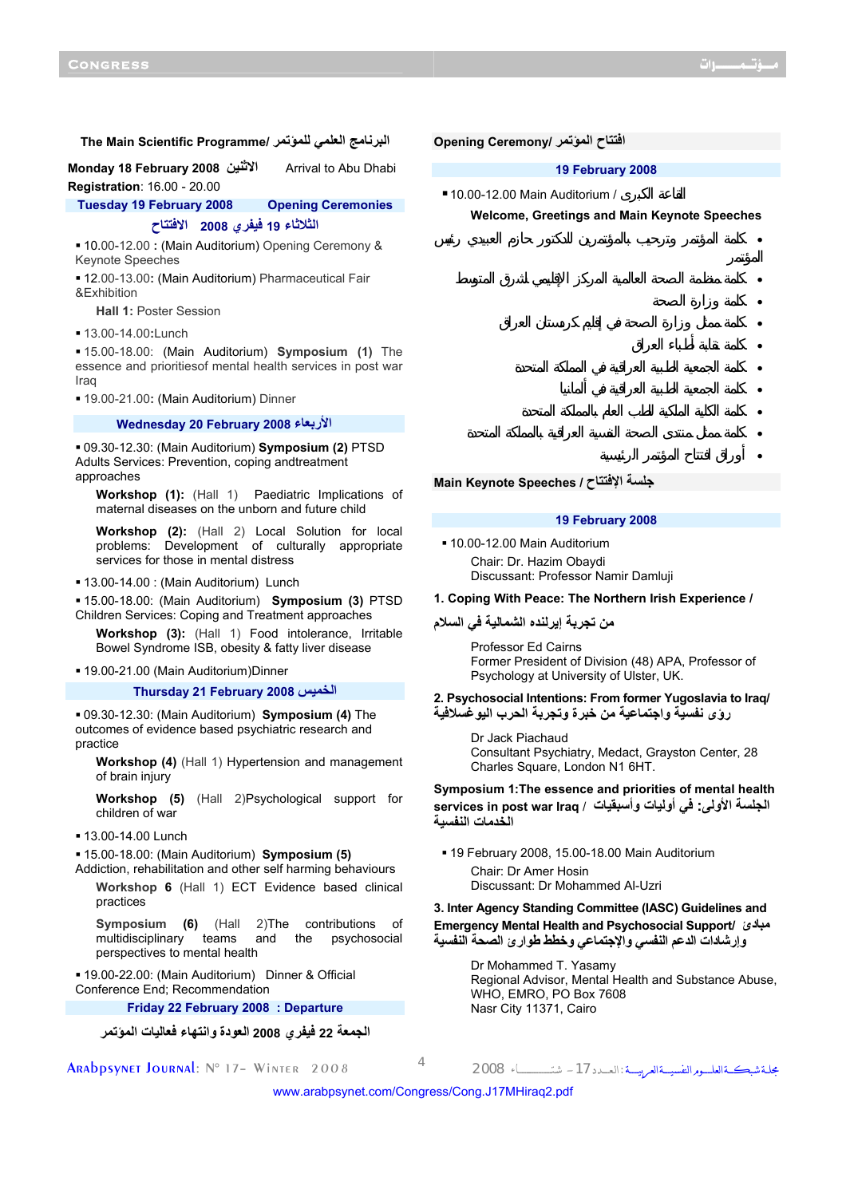• كلمة وزارة الصحة

• كلمة نقابة أطباء العراق

# **The Main Scientific Programme/ للمؤتمر العلمي البرنامج**

**Monday 18 February 2008 الاثنين** Arrival to Abu Dhabi **Registration**: 16.00 - 20.00

**Tuesday 19 February 2008 Opening Ceremonies**

**الثلاثاء 19 فيفري 2008 الافتتاح**

 10.00-12.00 **:** (Main Auditorium) Opening Ceremony & Keynote Speeches

 12.00-13.00**:** (Main Auditorium) Pharmaceutical Fair &Exhibition

**Hall 1:** Poster Session

13.00-14.00**:**Lunch

 15.00-18.00: (Main Auditorium) **Symposium (1)** The essence and prioritiesof mental health services in post war **Iraq** 

19.00-21.00**:** (Main Auditorium) Dinner

#### **Wednesday 20 February 2008 الأربعاء**

 09.30-12.30: (Main Auditorium) **Symposium (2)** PTSD Adults Services: Prevention, coping andtreatment approaches

**Workshop (1):** (Hall 1) Paediatric Implications of maternal diseases on the unborn and future child

**Workshop (2):** (Hall 2) Local Solution for local problems: Development of culturally appropriate services for those in mental distress

13.00-14.00 : (Main Auditorium) Lunch

 15.00-18.00: (Main Auditorium) **Symposium (3)** PTSD Children Services: Coping and Treatment approaches

**Workshop (3):** (Hall 1) Food intolerance, Irritable Bowel Syndrome ISB, obesity & fatty liver disease

19.00-21.00 (Main Auditorium)Dinner

**Thursday 21 February 2008 الخميس**

 09.30-12.30: (Main Auditorium) **Symposium (4)** The outcomes of evidence based psychiatric research and practice

**Workshop (4)** (Hall 1) Hypertension and management of brain injury

**Workshop (5)** (Hall 2)Psychological support for children of war

#### $13.00 - 14.00$  Lunch

 15.00-18.00: (Main Auditorium) **Symposium (5)** Addiction, rehabilitation and other self harming behaviours

**Workshop 6** (Hall 1) ECT Evidence based clinical practices

**Symposium (6)** (Hall 2)The contributions of multidisciplinary teams and the psychosocial perspectives to mental health

 19.00-22.00: (Main Auditorium) Dinner & Official Conference End; Recommendation

**Friday 22 February 2008 : Departure** 

**الجمعة 22 فيفري 2008 العودة وانتهاء فعاليات المؤتمر**

**افتتاح المؤتمر /Ceremony Opening**

#### **19 February 2008**

• كلمة المؤتمر وترحيب بالمؤتمرين للدكتور حازم العبيدي رئيس

• كلمة منظمة الصحة العالمية المركز الإقليمي لشرق المتوسط

• كلمة ممثل وزارة الصحة في إقليم كردستان العراق

• كلمة الجمعية الطبية العراقية في المملكة المتحدة

• كلمة الكلية الملكية للطب العام بالمملكة المتحدة

• كلمة ممثل منتدى الصحة النفسية العراقية بالمملكة المتحدة

• كلمة الجمعية الطبية العراقية في ألمانيا

• أوراق افتتاح المؤتمر الرئيسية

 $\blacksquare$  10.00-12.00 Main Auditorium /

**Welcome, Greetings and Main Keynote Speeches** 

**Main Keynote Speeches / الإفتتاح جلسة**

### **19 February 2008**

 10.00-12.00 Main Auditorium Chair: Dr. Hazim Obaydi Discussant: Professor Namir Damluji

### **1. Coping With Peace: The Northern Irish Experience /**

**من تجربة إيرلنده الشمالية في السلام**

Professor Ed Cairns Former President of Division (48) APA, Professor of Psychology at University of Ulster, UK.

**2. Psychosocial Intentions: From former Yugoslavia to Iraq/ رؤى نفسية واجتماعية من خبرة وتجربة الحرب اليوغسلافية**

Dr Jack Piachaud Consultant Psychiatry, Medact, Grayston Center, 28 Charles Square, London N1 6HT.

**Symposium 1:The essence and priorities of mental health الجلسة الأولى: في أوليات وأسبقيات** / **Iraq war post in services الخدمات النفسية**

19 February 2008, 15.00-18.00 Main Auditorium

Chair: Dr Amer Hosin Discussant: Dr Mohammed Al-Uzri

**3. Inter Agency Standing Committee (IASC) Guidelines and Emergency Mental Health and Psychosocial Support/ مبادئ وإرشادات الدعم النفسي والإجتماعي وخطط طوارئ الصحة النفسية**

> Dr Mohammed T. Yasamy Regional Advisor, Mental Health and Substance Abuse, WHO, EMRO, PO Box 7608 Nasr City 11371, Cairo

مجلــة شبكـــةالعلــــــومالنفسيــــةالعربيـــــة :الـعــــدد-<sup>17</sup> شتــــــــــــــــــــاء <sup>2008</sup> <sup>4</sup> 2008 Winter– <sup>17</sup> °N :Journal Arabpsynet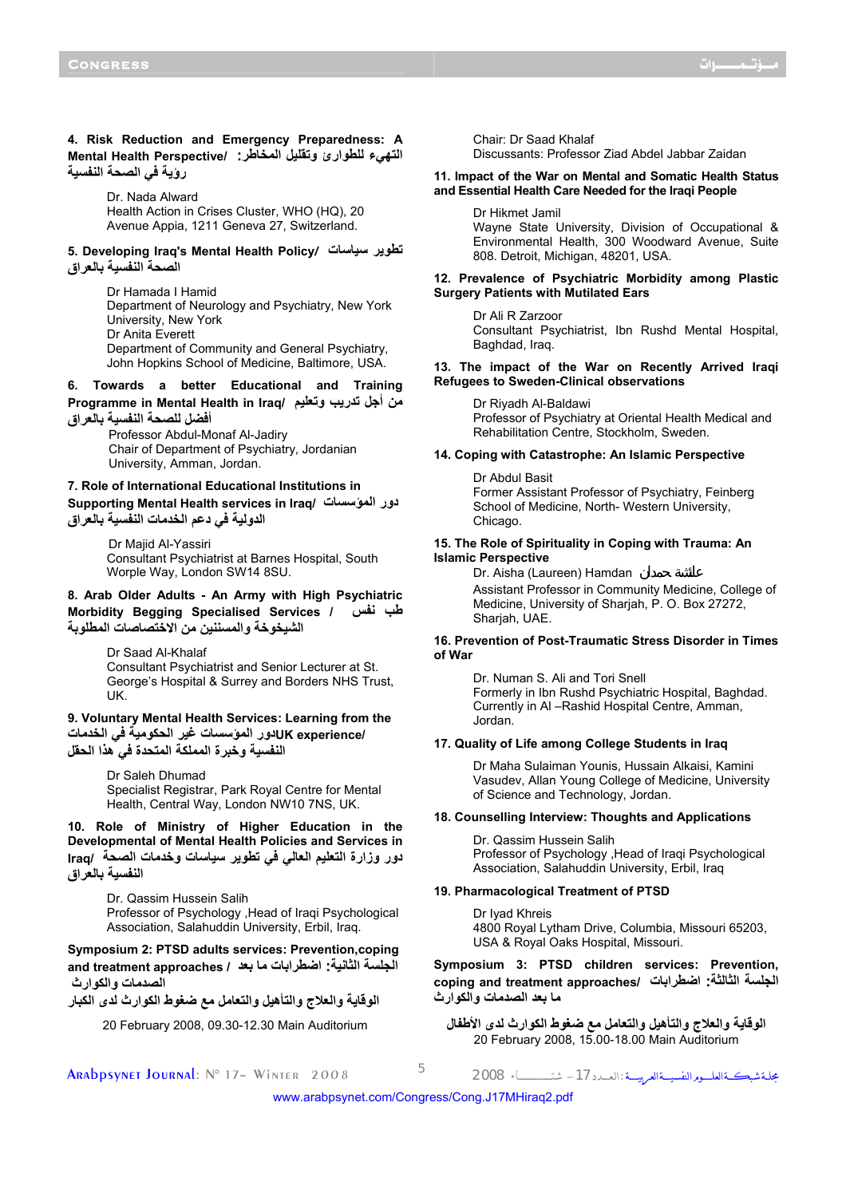# **4. Risk Reduction and Emergency Preparedness: A التهيء للطوارئ وتقليل المخاطر: /Perspective Health Mental رؤية في الصحة النفسية**

Dr. Nada Alward Health Action in Crises Cluster, WHO (HQ), 20 Avenue Appia, 1211 Geneva 27, Switzerland.

## **5. Developing Iraq's Mental Health Policy***/* **سياسات تطوير الصحة النفسية بالعراق**

Dr Hamada I Hamid Department of Neurology and Psychiatry, New York University, New York Dr Anita Everett Department of Community and General Psychiatry, John Hopkins School of Medicine, Baltimore, USA.

# **6. Towards a better Educational and Training Programme in Mental Health in Iraq/ وتعليم تدريب أجل من أفضل للصحة النفسية بالعراق**

Professor Abdul-Monaf Al-Jadiry Chair of Department of Psychiatry, Jordanian University, Amman, Jordan.

# **7. Role of International Educational Institutions in**

**Supporting Mental Health services in Iraq/ المؤسسات دور الدولية في دعم الخدمات النفسية بالعراق**

> Dr Majid Al-Yassiri Consultant Psychiatrist at Barnes Hospital, South Worple Way, London SW14 8SU.

**8. Arab Older Adults - An Army with High Psychiatric Morbidity Begging Specialised Services / نفس طب الشيخوخة والمسننين من الاختصاصات المطلوبة**

> Dr Saad Al-Khalaf Consultant Psychiatrist and Senior Lecturer at St. George's Hospital & Surrey and Borders NHS Trust, UK.

# **9. Voluntary Mental Health Services: Learning from the /experience UKدور المؤسسات غير الحكومية في الخدمات النفسية وخبرة المملكة المتحدة في هذا الحقل**

Dr Saleh Dhumad Specialist Registrar, Park Royal Centre for Mental Health, Central Way, London NW10 7NS, UK.

**10. Role of Ministry of Higher Education in the Developmental of Mental Health Policies and Services in دور وزارة التعليم العالي في تطوير سياسات وخدمات الصحة /Iraq النفسية بالعراق**

> Dr. Qassim Hussein Salih Professor of Psychology ,Head of Iraqi Psychological Association, Salahuddin University, Erbil, Iraq.

**Symposium 2: PTSD adults services: Prevention,coping الجلسة الثانية: اضطرابات ما بعد / approaches treatment and الصدمات والكوارث**

**الوقاية والعلاج والتأهيل والتعامل مع ضغوط الكوارث لدى الكبار**

20 February 2008, 09.30-12.30 Main Auditorium

Chair: Dr Saad Khalaf

Discussants: Professor Ziad Abdel Jabbar Zaidan

## **11. Impact of the War on Mental and Somatic Health Status and Essential Health Care Needed for the Iraqi People**

Dr Hikmet Jamil Wayne State University, Division of Occupational & Environmental Health, 300 Woodward Avenue, Suite 808. Detroit, Michigan, 48201, USA.

## **12. Prevalence of Psychiatric Morbidity among Plastic Surgery Patients with Mutilated Ears**

Dr Ali R Zarzoor Consultant Psychiatrist, Ibn Rushd Mental Hospital, Baghdad, Iraq.

### **13. The impact of the War on Recently Arrived Iraqi Refugees to Sweden-Clinical observations**

Dr Riyadh Al-Baldawi Professor of Psychiatry at Oriental Health Medical and Rehabilitation Centre, Stockholm, Sweden.

### **14. Coping with Catastrophe: An Islamic Perspective**

Dr Abdul Basit Former Assistant Professor of Psychiatry, Feinberg School of Medicine, North- Western University, Chicago.

## **15. The Role of Spirituality in Coping with Trauma: An Islamic Perspective**

Dr. Aisha (Laureen) Hamdan

Assistant Professor in Community Medicine, College of Medicine, University of Sharjah, P. O. Box 27272, Shariah, UAE.

# **16. Prevention of Post-Traumatic Stress Disorder in Times of War**

Dr. Numan S. Ali and Tori Snell Formerly in Ibn Rushd Psychiatric Hospital, Baghdad. Currently in Al –Rashid Hospital Centre, Amman, Jordan.

### **17. Quality of Life among College Students in Iraq**

Dr Maha Sulaiman Younis, Hussain Alkaisi, Kamini Vasudev, Allan Young College of Medicine, University of Science and Technology, Jordan.

### **18. Counselling Interview: Thoughts and Applications**

Dr. Qassim Hussein Salih Professor of Psychology ,Head of Iraqi Psychological Association, Salahuddin University, Erbil, Iraq

#### **19. Pharmacological Treatment of PTSD**

Dr Iyad Khreis 4800 Royal Lytham Drive, Columbia, Missouri 65203, USA & Royal Oaks Hospital, Missouri.

**Symposium 3: PTSD children services: Prevention, coping and treatment approaches/ اضطرابات :الثالثة الجلسة ما بعد الصدمات والكوارث**

**الوقاية والعلاج والتأهيل والتعامل مع ضغوط الكوارث لدى الأطفال** 20 February 2008, 15.00-18.00 Main Auditorium

مجلــة شبكـــةالعلــــــومالنفسيــــةالعربيـــــة :الـعــــدد-<sup>17</sup> شتــــــــــــــــــــاء <sup>2008</sup> <sup>5</sup> 2008 Winter– <sup>17</sup> °N :Journal Arabpsynet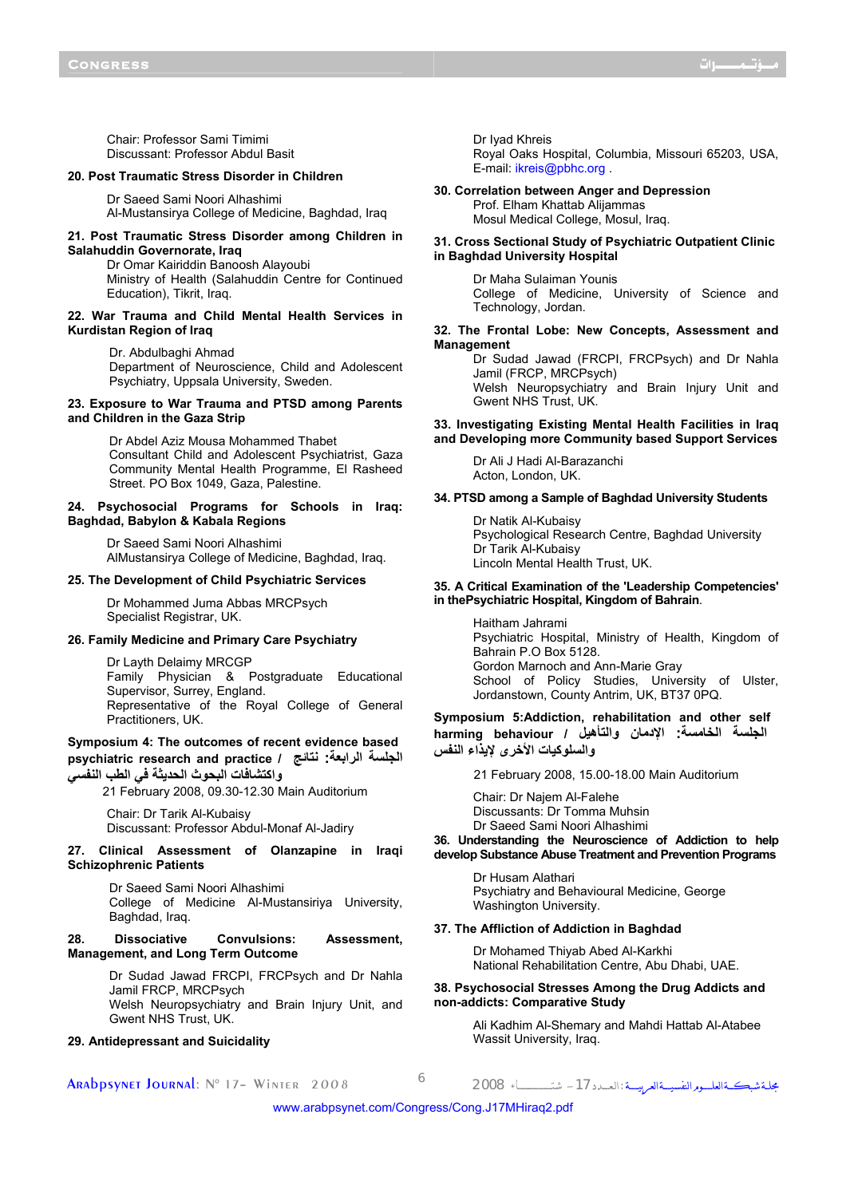Chair: Professor Sami Timimi Discussant: Professor Abdul Basit

## **20. Post Traumatic Stress Disorder in Children**

Dr Saeed Sami Noori Alhashimi Al-Mustansirya College of Medicine, Baghdad, Iraq

## **21. Post Traumatic Stress Disorder among Children in Salahuddin Governorate, Iraq**

Dr Omar Kairiddin Banoosh Alayoubi Ministry of Health (Salahuddin Centre for Continued Education), Tikrit, Iraq.

## **22. War Trauma and Child Mental Health Services in Kurdistan Region of Iraq**

Dr. Abdulbaghi Ahmad

Department of Neuroscience, Child and Adolescent Psychiatry, Uppsala University, Sweden.

## **23. Exposure to War Trauma and PTSD among Parents and Children in the Gaza Strip**

Dr Abdel Aziz Mousa Mohammed Thabet Consultant Child and Adolescent Psychiatrist, Gaza Community Mental Health Programme, El Rasheed Street. PO Box 1049, Gaza, Palestine.

## **24. Psychosocial Programs for Schools in Iraq: Baghdad, Babylon & Kabala Regions**

Dr Saeed Sami Noori Alhashimi AlMustansirya College of Medicine, Baghdad, Iraq.

## **25. The Development of Child Psychiatric Services**

Dr Mohammed Juma Abbas MRCPsych Specialist Registrar, UK.

## **26. Family Medicine and Primary Care Psychiatry**

Dr Layth Delaimy MRCGP Family Physician & Postgraduate Educational Supervisor, Surrey, England. Representative of the Royal College of General Practitioners, UK.

# **Symposium 4: The outcomes of recent evidence based psychiatric research and practice / نتائج :الرابعة الجلسة واآتشافات البحوث الحديثة في الطب النفسي**

21 February 2008, 09.30-12.30 Main Auditorium

Chair: Dr Tarik Al-Kubaisy Discussant: Professor Abdul-Monaf Al-Jadiry

## **27. Clinical Assessment of Olanzapine in Iraqi Schizophrenic Patients**

Dr Saeed Sami Noori Alhashimi College of Medicine Al-Mustansiriya University, Baghdad, Iraq.

## **28. Dissociative Convulsions: Assessment, Management, and Long Term Outcome**

Dr Sudad Jawad FRCPI, FRCPsych and Dr Nahla Jamil FRCP, MRCPsych Welsh Neuropsychiatry and Brain Injury Unit, and Gwent NHS Trust, UK.

#### **29. Antidepressant and Suicidality**

مجلــة شبكـــةالعلــــــومالنفسيــــةالعربيـــــة :الـعــــدد-<sup>17</sup> شتــــــــــــــــــــاء <sup>2008</sup> <sup>6</sup> 2008 Winter– <sup>17</sup> °N :Journal Arabpsynet

Dr Iyad Khreis

Royal Oaks Hospital, Columbia, Missouri 65203, USA, E-mail: ikreis@pbhc.org .

**30. Correlation between Anger and Depression**  Prof. Elham Khattab Alijammas

Mosul Medical College, Mosul, Iraq.

## **31. Cross Sectional Study of Psychiatric Outpatient Clinic in Baghdad University Hospital**

Dr Maha Sulaiman Younis College of Medicine, University of Science and Technology, Jordan.

## **32. The Frontal Lobe: New Concepts, Assessment and Management**

Dr Sudad Jawad (FRCPI, FRCPsych) and Dr Nahla Jamil (FRCP, MRCPsych)

Welsh Neuropsychiatry and Brain Injury Unit and Gwent NHS Trust, UK.

# **33. Investigating Existing Mental Health Facilities in Iraq and Developing more Community based Support Services**

Dr Ali J Hadi Al-Barazanchi Acton, London, UK.

#### **34. PTSD among a Sample of Baghdad University Students**

Dr Natik Al-Kubaisy Psychological Research Centre, Baghdad University Dr Tarik Al-Kubaisy Lincoln Mental Health Trust, UK.

### **35. A Critical Examination of the 'Leadership Competencies' in thePsychiatric Hospital, Kingdom of Bahrain**.

Haitham Jahrami Psychiatric Hospital, Ministry of Health, Kingdom of Bahrain P.O Box 5128. Gordon Marnoch and Ann-Marie Gray School of Policy Studies, University of Ulster, Jordanstown, County Antrim, UK, BT37 0PQ.

**Symposium 5:Addiction, rehabilitation and other self الجلسة الخامسة: الإدمان والتأهيل / behaviour harming والسلوآيات الأخرى لإيذاء النفس**

21 February 2008, 15.00-18.00 Main Auditorium

Chair: Dr Najem Al-Falehe Discussants: Dr Tomma Muhsin Dr Saeed Sami Noori Alhashimi

**36. Understanding the Neuroscience of Addiction to help develop Substance Abuse Treatment and Prevention Programs** 

> Dr Husam Alathari Psychiatry and Behavioural Medicine, George Washington University.

#### **37. The Affliction of Addiction in Baghdad**

Dr Mohamed Thiyab Abed Al-Karkhi National Rehabilitation Centre, Abu Dhabi, UAE.

## **38. Psychosocial Stresses Among the Drug Addicts and non-addicts: Comparative Study**

Ali Kadhim Al-Shemary and Mahdi Hattab Al-Atabee Wassit University, Iraq.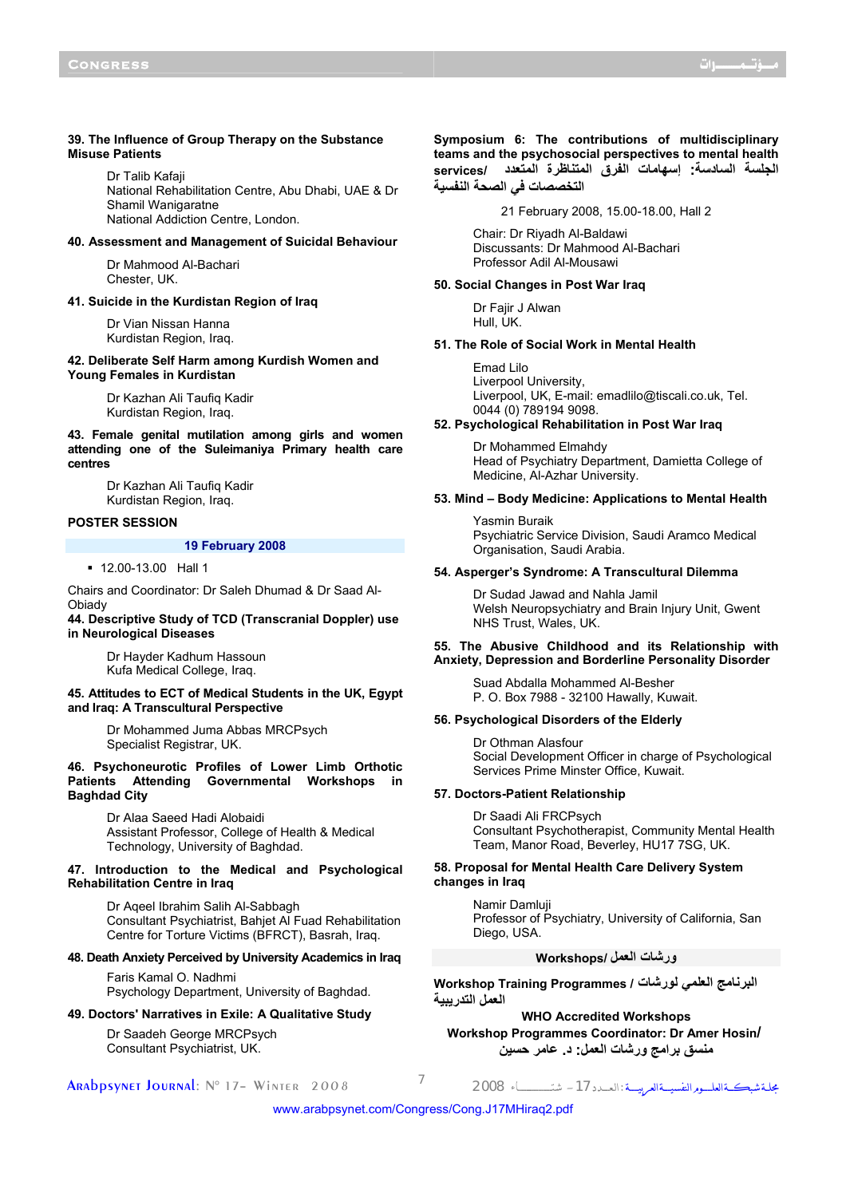### **39. The Influence of Group Therapy on the Substance Misuse Patients**

Dr Talib Kafaji National Rehabilitation Centre, Abu Dhabi, UAE & Dr Shamil Wanigaratne National Addiction Centre, London.

## **40. Assessment and Management of Suicidal Behaviour**

Dr Mahmood Al-Bachari Chester, UK.

## **41. Suicide in the Kurdistan Region of Iraq**

Dr Vian Nissan Hanna Kurdistan Region, Iraq.

#### **42. Deliberate Self Harm among Kurdish Women and Young Females in Kurdistan**

Dr Kazhan Ali Taufiq Kadir Kurdistan Region, Iraq.

## **43. Female genital mutilation among girls and women attending one of the Suleimaniya Primary health care centres**

Dr Kazhan Ali Taufiq Kadir Kurdistan Region, Iraq.

## **POSTER SESSION**

#### **19 February 2008**

12.00-13.00 Hall 1

Chairs and Coordinator: Dr Saleh Dhumad & Dr Saad Al-**Obiady** 

## **44. Descriptive Study of TCD (Transcranial Doppler) use in Neurological Diseases**

Dr Hayder Kadhum Hassoun Kufa Medical College, Iraq.

## **45. Attitudes to ECT of Medical Students in the UK, Egypt and Iraq: A Transcultural Perspective**

Dr Mohammed Juma Abbas MRCPsych Specialist Registrar, UK.

## **46. Psychoneurotic Profiles of Lower Limb Orthotic Patients Attending Governmental Workshops Baghdad City**

Dr Alaa Saeed Hadi Alobaidi Assistant Professor, College of Health & Medical Technology, University of Baghdad.

## **47. Introduction to the Medical and Psychological Rehabilitation Centre in Iraq**

Dr Aqeel Ibrahim Salih Al-Sabbagh Consultant Psychiatrist, Bahjet Al Fuad Rehabilitation Centre for Torture Victims (BFRCT), Basrah, Iraq.

## **48. Death Anxiety Perceived by University Academics in Iraq**

Faris Kamal O. Nadhmi Psychology Department, University of Baghdad.

### **49. Doctors' Narratives in Exile: A Qualitative Study**

Dr Saadeh George MRCPsych Consultant Psychiatrist, UK.

مجلــة شبكـــةالعلــــــومالنفسيــــةالعربيـــــة :الـعــــدد-<sup>17</sup> شتــــــــــــــــــــاء <sup>2008</sup> <sup>7</sup> 2008 Winter– <sup>17</sup> °N :Journal Arabpsynet

**Symposium 6: The contributions of multidisciplinary teams and the psychosocial perspectives to mental health الجلسة السادسة: إسهامات الفرق المتناظرة المتعدد /services التخصصات في الصحة النفسية**

21 February 2008, 15.00-18.00, Hall 2

Chair: Dr Riyadh Al-Baldawi Discussants: Dr Mahmood Al-Bachari Professor Adil Al-Mousawi

# **50. Social Changes in Post War Iraq**

Dr Faiir J Alwan Hull, UK.

## **51. The Role of Social Work in Mental Health**

Emad Lilo Liverpool University, Liverpool, UK, E-mail: emadlilo@tiscali.co.uk, Tel. 0044 (0) 789194 9098.

## **52. Psychological Rehabilitation in Post War Iraq**

Dr Mohammed Elmahdy Head of Psychiatry Department, Damietta College of Medicine, Al-Azhar University.

## **53. Mind – Body Medicine: Applications to Mental Health**

Yasmin Buraik Psychiatric Service Division, Saudi Aramco Medical Organisation, Saudi Arabia.

# **54. Asperger's Syndrome: A Transcultural Dilemma**

Dr Sudad Jawad and Nahla Jamil Welsh Neuropsychiatry and Brain Injury Unit, Gwent NHS Trust, Wales, UK.

## **55. The Abusive Childhood and its Relationship with Anxiety, Depression and Borderline Personality Disorder**

Suad Abdalla Mohammed Al-Besher P. O. Box 7988 - 32100 Hawally, Kuwait.

### **56. Psychological Disorders of the Elderly**

Dr Othman Alasfour Social Development Officer in charge of Psychological Services Prime Minster Office, Kuwait.

#### **57. Doctors-Patient Relationship**

Dr Saadi Ali FRCPsych Consultant Psychotherapist, Community Mental Health Team, Manor Road, Beverley, HU17 7SG, UK.

## **58. Proposal for Mental Health Care Delivery System changes in Iraq**

Namir Damluji Professor of Psychiatry, University of California, San Diego, USA.

# **ورشات العمل /Workshops**

**البرنامج العلمي لورشات / Programmes Training Workshop العمل التدريبية**

**WHO Accredited Workshops Workshop Programmes Coordinator: Dr Amer Hosin/ منسق برامج ورشات العمل: د. عامر حسين**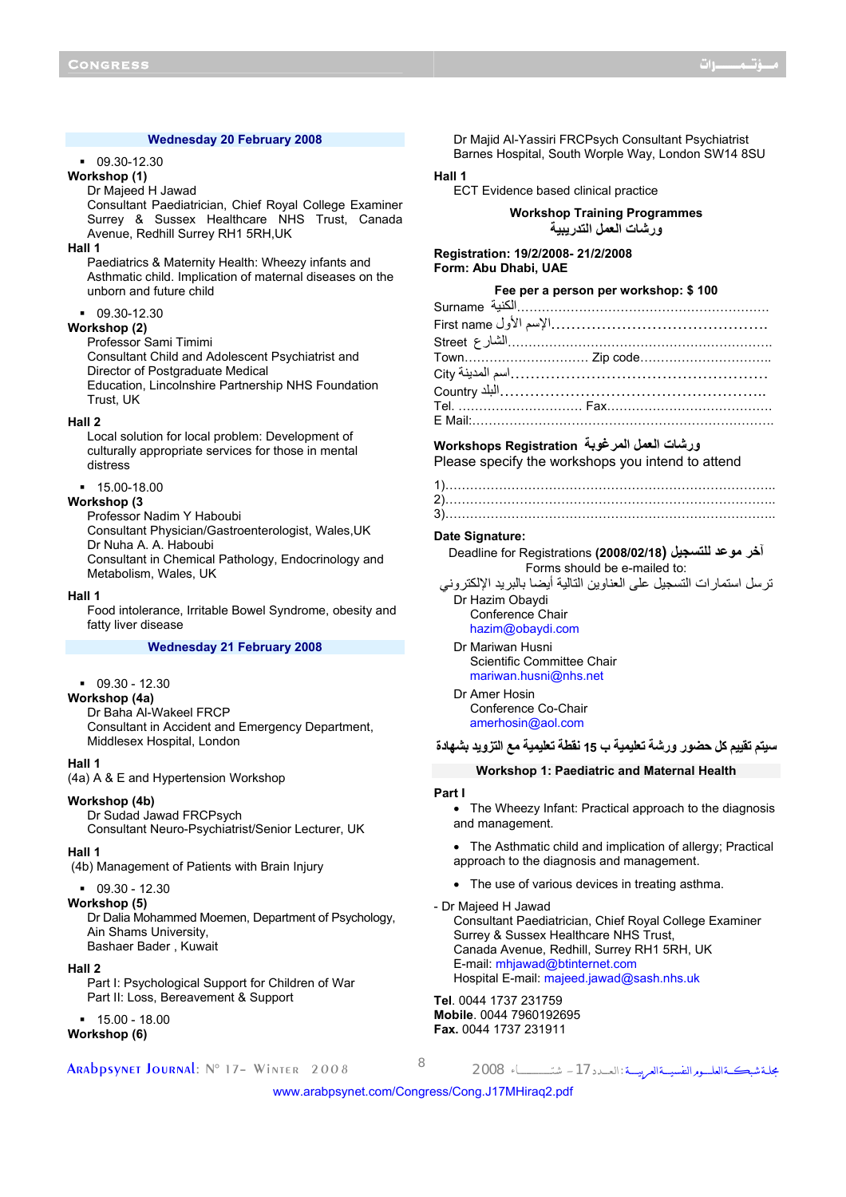## **Wednesday 20 February 2008**

### 09.30-12.30

## **Workshop (1)**

## Dr Majeed H Jawad

Consultant Paediatrician, Chief Royal College Examiner Surrey & Sussex Healthcare NHS Trust, Canada Avenue, Redhill Surrey RH1 5RH,UK

#### **Hall 1**

Paediatrics & Maternity Health: Wheezy infants and Asthmatic child. Implication of maternal diseases on the unborn and future child

#### $-09.30-12.30$

**Workshop (2)** 

Professor Sami Timimi

Consultant Child and Adolescent Psychiatrist and Director of Postgraduate Medical Education, Lincolnshire Partnership NHS Foundation Trust, UK

#### **Hall 2**

Local solution for local problem: Development of culturally appropriate services for those in mental distress

## 15.00-18.00

# **Workshop (3**

Professor Nadim Y Haboubi Consultant Physician/Gastroenterologist, Wales,UK Dr Nuha A. A. Haboubi Consultant in Chemical Pathology, Endocrinology and Metabolism, Wales, UK

#### **Hall 1**

Food intolerance, Irritable Bowel Syndrome, obesity and fatty liver disease

# **Wednesday 21 February 2008**

# $-09.30 - 12.30$

**Workshop (4a)** 

Dr Baha Al-Wakeel FRCP Consultant in Accident and Emergency Department, Middlesex Hospital, London

#### **Hall 1**

(4a) A & E and Hypertension Workshop

## **Workshop (4b)**

Dr Sudad Jawad FRCPsych Consultant Neuro-Psychiatrist/Senior Lecturer, UK

#### **Hall 1**

(4b) Management of Patients with Brain Injury

09.30 - 12.30

### **Workshop (5)**

Dr Dalia Mohammed Moemen, Department of Psychology, Ain Shams University, Bashaer Bader , Kuwait

#### **Hall 2**

Part I: Psychological Support for Children of War Part II: Loss, Bereavement & Support

# $-15.00 - 18.00$

**Workshop (6)** 

مجلــة شبكـــةالعلــــــومالنفسيــــةالعربيـــــة :الـعــــدد-<sup>17</sup> شتــــــــــــــــــــاء <sup>2008</sup> <sup>8</sup> 2008 Winter– <sup>17</sup> °N :Journal Arabpsynet

Dr Majid Al-Yassiri FRCPsych Consultant Psychiatrist Barnes Hospital, South Worple Way, London SW14 8SU

# **Hall 1**

ECT Evidence based clinical practice

**Workshop Training Programmes ورشات العمل التدريبية**

# **Registration: 19/2/2008- 21/2/2008 Form: Abu Dhabi, UAE**

| Fee per a person per workshop: \$ 100 |  |  |  |  |  |  |  |  |  |  |  |  |  |
|---------------------------------------|--|--|--|--|--|--|--|--|--|--|--|--|--|
|                                       |  |  |  |  |  |  |  |  |  |  |  |  |  |
|                                       |  |  |  |  |  |  |  |  |  |  |  |  |  |
|                                       |  |  |  |  |  |  |  |  |  |  |  |  |  |
|                                       |  |  |  |  |  |  |  |  |  |  |  |  |  |
|                                       |  |  |  |  |  |  |  |  |  |  |  |  |  |
|                                       |  |  |  |  |  |  |  |  |  |  |  |  |  |
|                                       |  |  |  |  |  |  |  |  |  |  |  |  |  |
|                                       |  |  |  |  |  |  |  |  |  |  |  |  |  |

# **ورشات العمل المرغوبة Registration Workshops**

Please specify the workshops you intend to attend

## **Date Signature:**

**آخر موعد للتسجيل (2008/02/18)** Registrations for Deadline Forms should be e-mailed to:

- ترسل استمارات التسجيل على العناوين التالية أيضا بالبريد الإلكتروني
	- Dr Hazim Obaydi Conference Chair hazim@obaydi.com
	- Dr Mariwan Husni Scientific Committee Chair mariwan.husni@nhs.net
	- Dr Amer Hosin Conference Co-Chair amerhosin@aol.com

## **سيتم تقييم آل حضور ورشة تعليمية ب 15 نقطة تعليمية مع التزويد بشهادة**

## **Workshop 1: Paediatric and Maternal Health**

### **Part I**

The Wheezy Infant: Practical approach to the diagnosis and management.

• The Asthmatic child and implication of allergy; Practical approach to the diagnosis and management.

- The use of various devices in treating asthma.
- Dr Majeed H Jawad Consultant Paediatrician, Chief Royal College Examiner Surrey & Sussex Healthcare NHS Trust, Canada Avenue, Redhill, Surrey RH1 5RH, UK E-mail: mhjawad@btinternet.com Hospital E-mail: majeed.jawad@sash.nhs.uk

**Tel**. 0044 1737 231759 **Mobile**. 0044 7960192695 **Fax.** 0044 1737 231911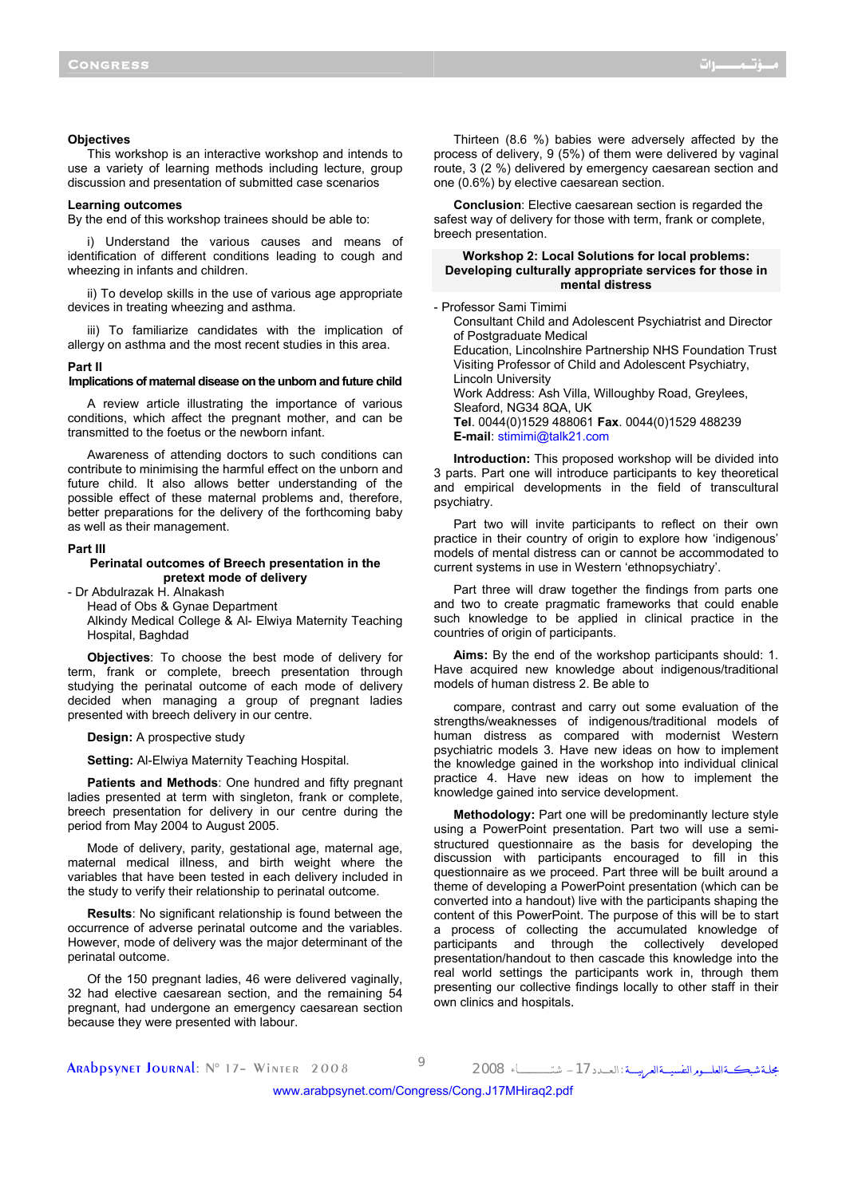#### **Objectives**

This workshop is an interactive workshop and intends to use a variety of learning methods including lecture, group discussion and presentation of submitted case scenarios

#### **Learning outcomes**

By the end of this workshop trainees should be able to:

i) Understand the various causes and means of identification of different conditions leading to cough and wheezing in infants and children.

ii) To develop skills in the use of various age appropriate devices in treating wheezing and asthma.

iii) To familiarize candidates with the implication of allergy on asthma and the most recent studies in this area.

#### **Part II**

#### **Implications of maternal disease on the unborn and future child**

A review article illustrating the importance of various conditions, which affect the pregnant mother, and can be transmitted to the foetus or the newborn infant.

Awareness of attending doctors to such conditions can contribute to minimising the harmful effect on the unborn and future child. It also allows better understanding of the possible effect of these maternal problems and, therefore, better preparations for the delivery of the forthcoming baby as well as their management.

#### **Part III**

### **Perinatal outcomes of Breech presentation in the pretext mode of delivery**

- Dr Abdulrazak H. Alnakash

Head of Obs & Gynae Department Alkindy Medical College & Al- Elwiya Maternity Teaching

Hospital, Baghdad

**Objectives**: To choose the best mode of delivery for term, frank or complete, breech presentation through studying the perinatal outcome of each mode of delivery decided when managing a group of pregnant ladies presented with breech delivery in our centre.

**Design:** A prospective study

**Setting:** Al-Elwiya Maternity Teaching Hospital.

**Patients and Methods**: One hundred and fifty pregnant ladies presented at term with singleton, frank or complete, breech presentation for delivery in our centre during the period from May 2004 to August 2005.

Mode of delivery, parity, gestational age, maternal age, maternal medical illness, and birth weight where the variables that have been tested in each delivery included in the study to verify their relationship to perinatal outcome.

**Results**: No significant relationship is found between the occurrence of adverse perinatal outcome and the variables. However, mode of delivery was the major determinant of the perinatal outcome.

Of the 150 pregnant ladies, 46 were delivered vaginally, 32 had elective caesarean section, and the remaining 54 pregnant, had undergone an emergency caesarean section because they were presented with labour.

Thirteen (8.6 %) babies were adversely affected by the process of delivery, 9 (5%) of them were delivered by vaginal route, 3 (2 %) delivered by emergency caesarean section and one (0.6%) by elective caesarean section.

**Conclusion**: Elective caesarean section is regarded the safest way of delivery for those with term, frank or complete, breech presentation.

### **Workshop 2: Local Solutions for local problems: Developing culturally appropriate services for those in mental distress**

- Professor Sami Timimi

Consultant Child and Adolescent Psychiatrist and Director of Postgraduate Medical Education, Lincolnshire Partnership NHS Foundation Trust Visiting Professor of Child and Adolescent Psychiatry, Lincoln University Work Address: Ash Villa, Willoughby Road, Greylees, Sleaford, NG34 8QA, UK **Tel**. 0044(0)1529 488061 **Fax**. 0044(0)1529 488239 **E-mail**: stimimi@talk21.com

**Introduction:** This proposed workshop will be divided into 3 parts. Part one will introduce participants to key theoretical and empirical developments in the field of transcultural psychiatry.

Part two will invite participants to reflect on their own practice in their country of origin to explore how 'indigenous' models of mental distress can or cannot be accommodated to current systems in use in Western 'ethnopsychiatry'.

Part three will draw together the findings from parts one and two to create pragmatic frameworks that could enable such knowledge to be applied in clinical practice in the countries of origin of participants.

**Aims:** By the end of the workshop participants should: 1. Have acquired new knowledge about indigenous/traditional models of human distress 2. Be able to

compare, contrast and carry out some evaluation of the strengths/weaknesses of indigenous/traditional models of human distress as compared with modernist Western psychiatric models 3. Have new ideas on how to implement the knowledge gained in the workshop into individual clinical practice 4. Have new ideas on how to implement the knowledge gained into service development.

**Methodology:** Part one will be predominantly lecture style using a PowerPoint presentation. Part two will use a semistructured questionnaire as the basis for developing the discussion with participants encouraged to fill in this questionnaire as we proceed. Part three will be built around a theme of developing a PowerPoint presentation (which can be converted into a handout) live with the participants shaping the content of this PowerPoint. The purpose of this will be to start a process of collecting the accumulated knowledge of participants and through the collectively developed presentation/handout to then cascade this knowledge into the real world settings the participants work in, through them presenting our collective findings locally to other staff in their own clinics and hospitals.

مجلة شبكــةالعلــــوم النفسيـــةالعربيـــة :العبدد 17 – شتــــــــــــاء 2008 9<br>مجلة شبكــــة العلـــوم النفسيـــة العربيـــة : العبدد 17 – شتـــــــــــاء 2008 2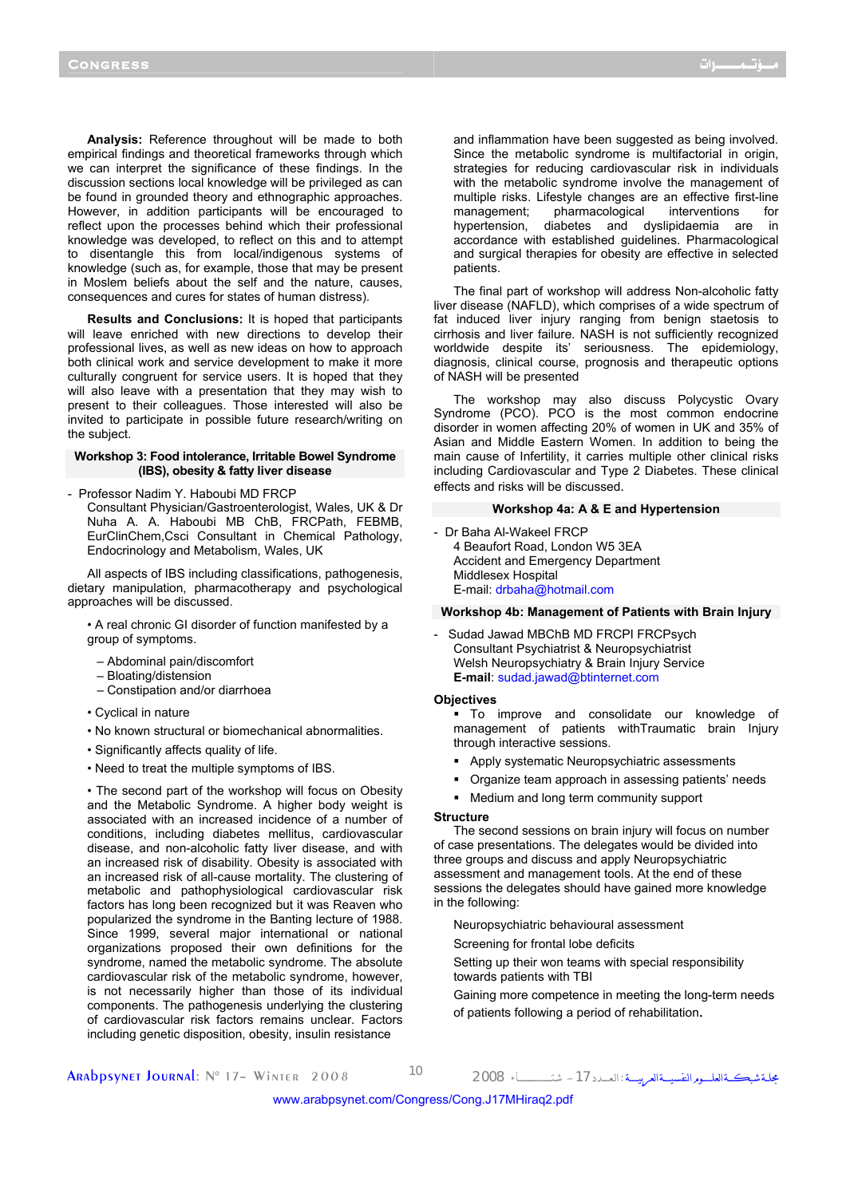**Analysis:** Reference throughout will be made to both empirical findings and theoretical frameworks through which we can interpret the significance of these findings. In the discussion sections local knowledge will be privileged as can be found in grounded theory and ethnographic approaches. However, in addition participants will be encouraged to reflect upon the processes behind which their professional knowledge was developed, to reflect on this and to attempt to disentangle this from local/indigenous systems of knowledge (such as, for example, those that may be present in Moslem beliefs about the self and the nature, causes, consequences and cures for states of human distress).

**Results and Conclusions:** It is hoped that participants will leave enriched with new directions to develop their professional lives, as well as new ideas on how to approach both clinical work and service development to make it more culturally congruent for service users. It is hoped that they will also leave with a presentation that they may wish to present to their colleagues. Those interested will also be invited to participate in possible future research/writing on the subject.

### **Workshop 3: Food intolerance, Irritable Bowel Syndrome (IBS), obesity & fatty liver disease**

- Professor Nadim Y. Haboubi MD FRCP
	- Consultant Physician/Gastroenterologist, Wales, UK & Dr Nuha A. A. Haboubi MB ChB, FRCPath, FEBMB, EurClinChem,Csci Consultant in Chemical Pathology, Endocrinology and Metabolism, Wales, UK

All aspects of IBS including classifications, pathogenesis, dietary manipulation, pharmacotherapy and psychological approaches will be discussed.

• A real chronic GI disorder of function manifested by a group of symptoms.

- Abdominal pain/discomfort
- Bloating/distension
- Constipation and/or diarrhoea
- Cyclical in nature
- No known structural or biomechanical abnormalities.
- Significantly affects quality of life.
- Need to treat the multiple symptoms of IBS.

• The second part of the workshop will focus on Obesity and the Metabolic Syndrome. A higher body weight is associated with an increased incidence of a number of conditions, including diabetes mellitus, cardiovascular disease, and non-alcoholic fatty liver disease, and with an increased risk of disability. Obesity is associated with an increased risk of all-cause mortality. The clustering of metabolic and pathophysiological cardiovascular risk factors has long been recognized but it was Reaven who popularized the syndrome in the Banting lecture of 1988. Since 1999, several major international or national organizations proposed their own definitions for the syndrome, named the metabolic syndrome. The absolute cardiovascular risk of the metabolic syndrome, however, is not necessarily higher than those of its individual components. The pathogenesis underlying the clustering of cardiovascular risk factors remains unclear. Factors including genetic disposition, obesity, insulin resistance

 and inflammation have been suggested as being involved. Since the metabolic syndrome is multifactorial in origin, strategies for reducing cardiovascular risk in individuals with the metabolic syndrome involve the management of multiple risks. Lifestyle changes are an effective first-line management; pharmacological interventions for hypertension, diabetes and dyslipidaemia are in accordance with established guidelines. Pharmacological and surgical therapies for obesity are effective in selected patients.

The final part of workshop will address Non-alcoholic fatty liver disease (NAFLD), which comprises of a wide spectrum of fat induced liver injury ranging from benign staetosis to cirrhosis and liver failure. NASH is not sufficiently recognized worldwide despite its' seriousness. The epidemiology, diagnosis, clinical course, prognosis and therapeutic options of NASH will be presented

The workshop may also discuss Polycystic Ovary Syndrome (PCO). PCO is the most common endocrine disorder in women affecting 20% of women in UK and 35% of Asian and Middle Eastern Women. In addition to being the main cause of Infertility, it carries multiple other clinical risks including Cardiovascular and Type 2 Diabetes. These clinical effects and risks will be discussed.

### **Workshop 4a: A & E and Hypertension**

- Dr Baha Al-Wakeel FRCP 4 Beaufort Road, London W5 3EA Accident and Emergency Department Middlesex Hospital E-mail: drbaha@hotmail.com

## **Workshop 4b: Management of Patients with Brain Injury**

- Sudad Jawad MBChB MD FRCPI FRCPsych Consultant Psychiatrist & Neuropsychiatrist Welsh Neuropsychiatry & Brain Injury Service **E-mail**: sudad.jawad@btinternet.com
- **Objectives** 
	- To improve and consolidate our knowledge of management of patients withTraumatic brain Injury through interactive sessions.
	- Apply systematic Neuropsychiatric assessments
	- Organize team approach in assessing patients' needs
	- Medium and long term community support

#### **Structure**

The second sessions on brain injury will focus on number of case presentations. The delegates would be divided into three groups and discuss and apply Neuropsychiatric assessment and management tools. At the end of these sessions the delegates should have gained more knowledge in the following:

Neuropsychiatric behavioural assessment

Screening for frontal lobe deficits

Setting up their won teams with special responsibility towards patients with TBI

Gaining more competence in meeting the long-term needs of patients following a period of rehabilitation.

مجلــة شبكـــةالعلــــــومالنفسيــــةالعربيـــــة :الـعــــدد-<sup>17</sup> شتــــــــــــــــــــاء <sup>2008</sup> <sup>10</sup> 2008 Winter– <sup>17</sup> °N :Journal Arabpsynet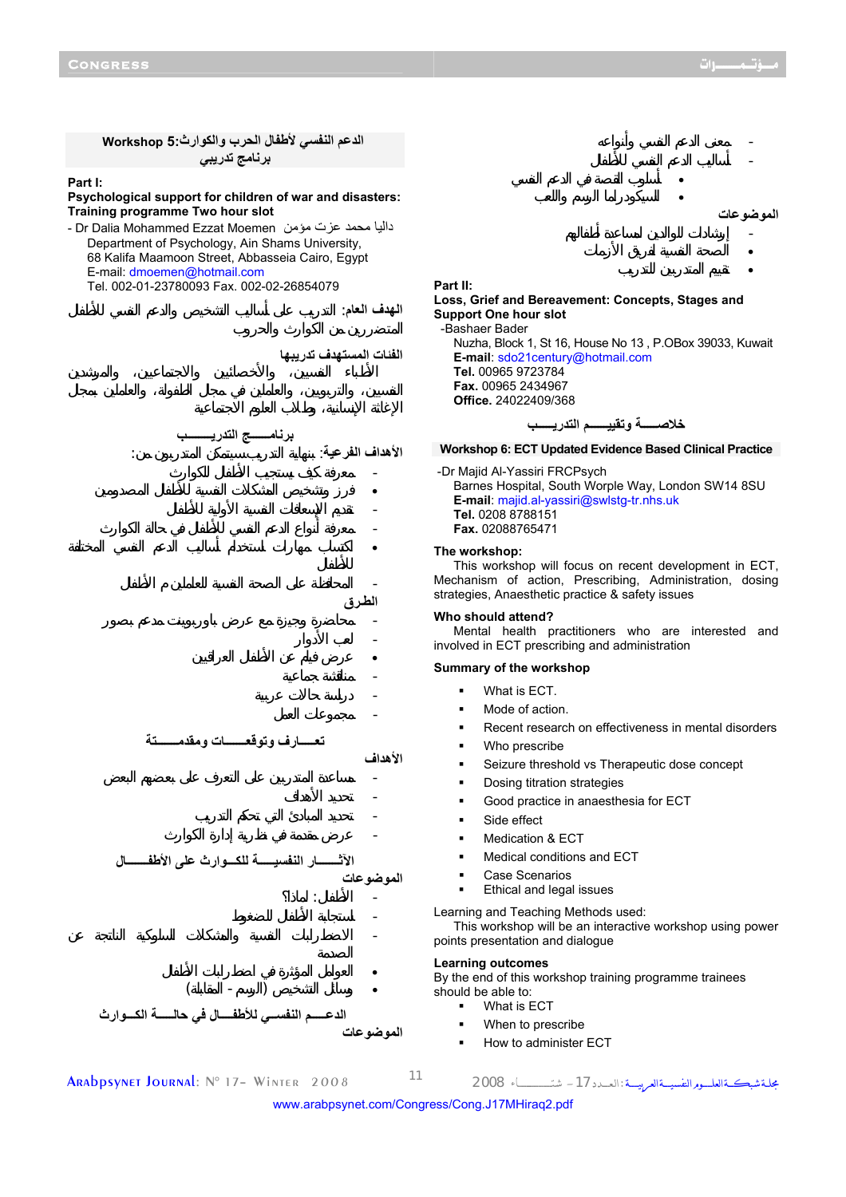**الدعم النفسي لأطفال الحرب والكوارث5: Workshop برنامج تدريبي Part I: Psychological support for children of war and disasters: Training programme Two hour slot**  - Dr Dalia Mohammed Ezzat Moemen مؤمن عزت محمد داليا Department of Psychology, Ain Shams University, 68 Kalifa Maamoon Street, Abbasseia Cairo, Egypt E-mail: dmoemen@hotmail.com Tel. 002-01-23780093 Fax. 002-02-26854079 **الهدف العام**: التدريب على أساليب التشخيص والدعم النفسي للأطفال **الفئات المستهدف تدريبها برنامــــــج التدريــــــــب** الأهداف الفرعية: - معرفة كيف يستجيب الأطفال للكوارث • رز وتشخيص المشكلات النفسية للأطفال المصدومين - تقديم الإسعافات النفسية الأولية للأطفال - معرفة أنواع الدعم النفسي للأطفال في حالة الكوارث • اكتساب مهارات استخدام أساليب الدعم النفسي المختلفة - المحافظة على الصحة النفسية للعاملين الأطفال **الطـرق** - محاضرة وجيزة مع عرض باوربوينت مدعم بصور - لعب الأدوار • عرض فيلم عن الأطفال العراقيين - مناقشة جماعية - دراسة حالات عربية - مجموعات العمل **تعـــــارف وتوقعـــــــات ومقدمـــــــتة الأهداف** - مساعدة المتدربين على التعرف على بعضهم البعض - تحديد الأهداف - تحديد المبادئ التي تحكم التدريب - عرض مقدمة في نظرية إدارة الكوارث **الآثـــــــار النفسيـــــة للكـــوارث على الأطفـــــــال الموضوعات**  $-$  1.1  $-$  1.1  $-$ - استجابة الأطفال للضغوط - الاضطرابات النفسية والمشكلات السلوكية الناتجة عن • العوامل المؤثرة في اضطرابات الأطفال  $($   $)$ **الدعـــــم النفســي للأطفــــال في حالـــــة الكـــوارث الموضوعات** - معنى الدعم النفسي وأنواعه - أساليب الدعم النفسي للأطفال • أسلوب القصة في الدعم النفسي • السيكودراما الرسم واللعب **الموضوعات** - إرشادات للوالدين لمساعدة أطفالهم • الصحة النفسية لفريق الأزمات • تقييم المتدربين للتدريب **Part II: Loss, Grief and Bereavement: Concepts, Stages and Support One hour slot**  -Bashaer Bader Nuzha, Block 1, St 16, House No 13 , P.OBox 39033, Kuwait **E-mail**: sdo21century@hotmail.com **Tel.** 00965 9723784 **Fax.** 00965 2434967 **Office.** 24022409/368 **خلاصـــــة وتقييــــــم التدريـــــب Workshop 6: ECT Updated Evidence Based Clinical Practice**  -Dr Majid Al-Yassiri FRCPsych Barnes Hospital, South Worple Way, London SW14 8SU **E-mail**: majid.al-yassiri@swlstg-tr.nhs.uk **Tel.** 0208 8788151 **Fax.** 02088765471 **The workshop:**  This workshop will focus on recent development in ECT, Mechanism of action, Prescribing, Administration, dosing strategies, Anaesthetic practice & safety issues **Who should attend?**  Mental health practitioners who are interested and involved in ECT prescribing and administration **Summary of the workshop**  What is ECT. Mode of action. Recent research on effectiveness in mental disorders Who prescribe Seizure threshold vs Therapeutic dose concept Dosing titration strategies Good practice in anaesthesia for ECT Side effect Medication & ECT Medical conditions and ECT Case Scenarios Ethical and legal issues Learning and Teaching Methods used: This workshop will be an interactive workshop using power points presentation and dialogue **Learning outcomes**  By the end of this workshop training programme trainees should be able to: What is ECT When to prescribe How to administer ECT

مجلــة شبكـــةالعلــــــومالنفسيــــةالعربيـــــة :الـعــــدد-<sup>17</sup> شتــــــــــــــــــــاء <sup>2008</sup> <sup>11</sup> 2008 Winter– <sup>17</sup> °N :Journal Arabpsynet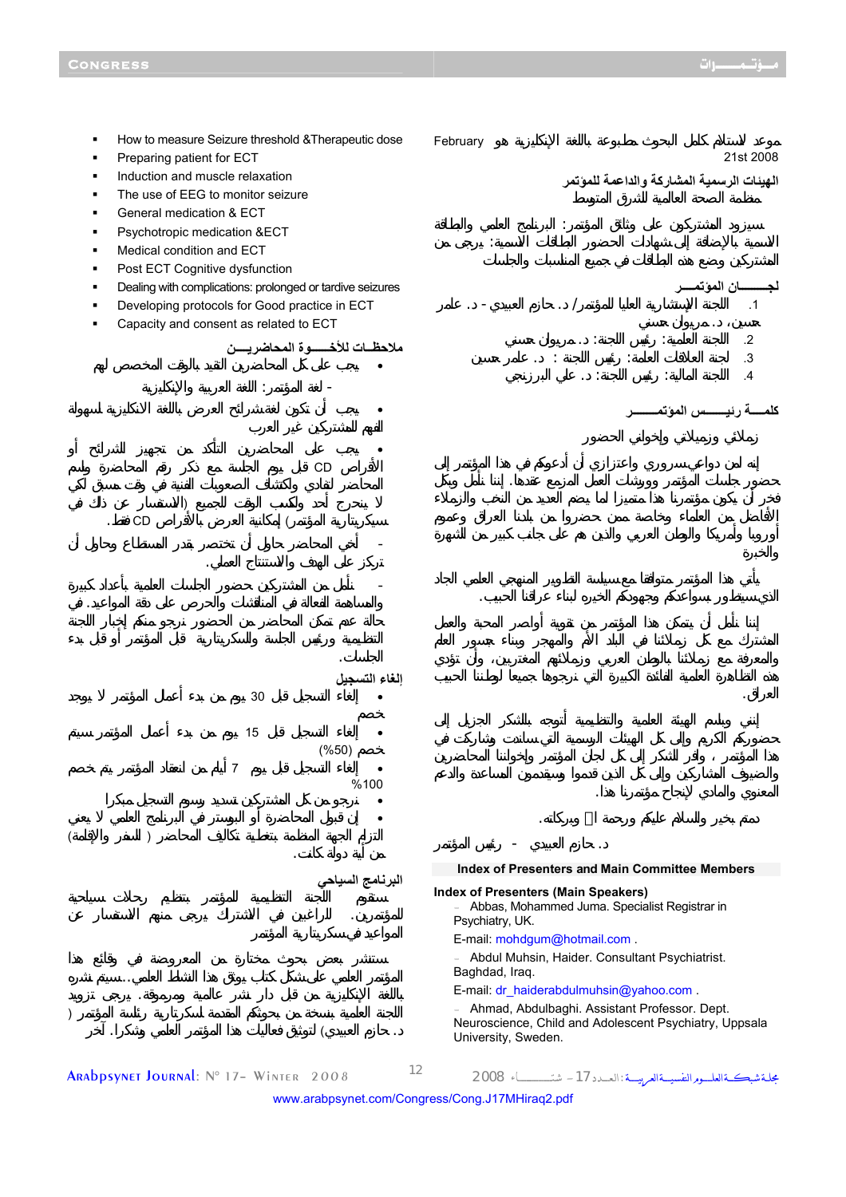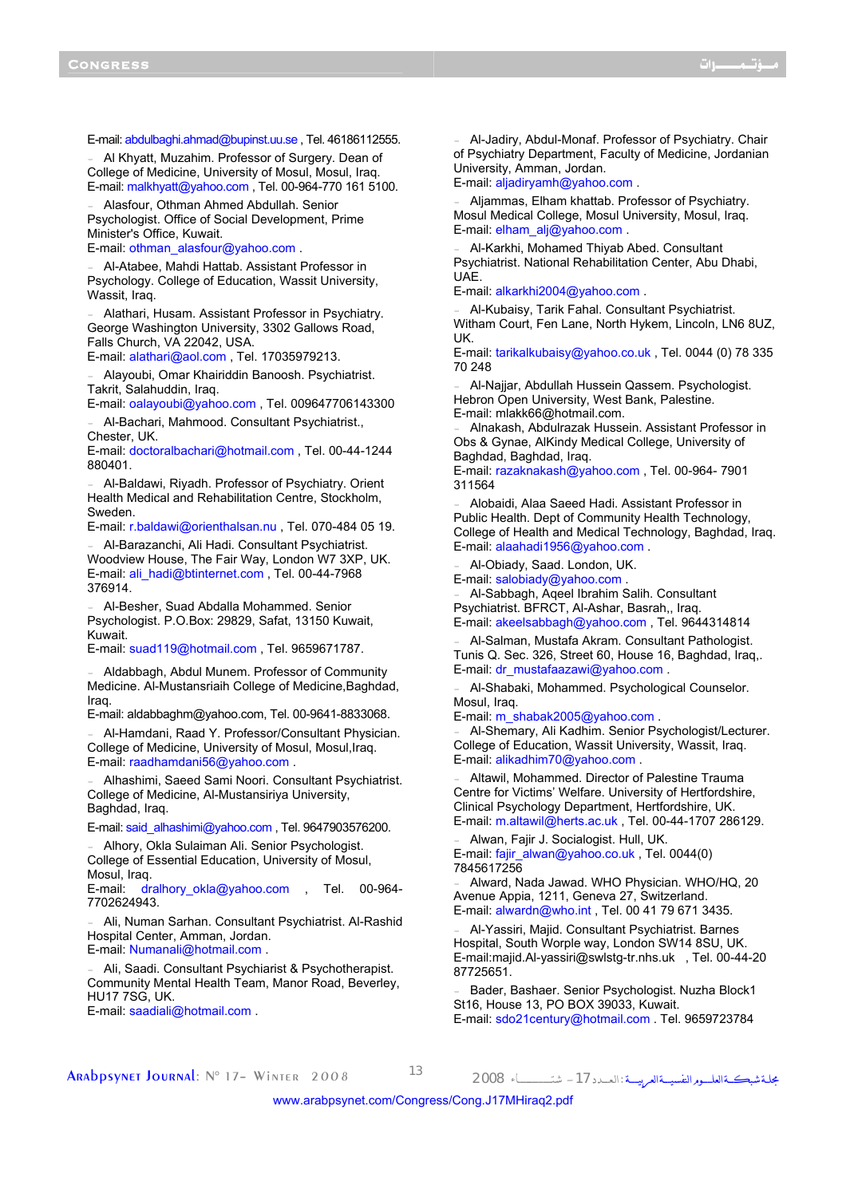E-mail: abdulbaghi.ahmad@bupinst.uu.se , Tel. 46186112555.

Al Khyatt, Muzahim. Professor of Surgery. Dean of College of Medicine, University of Mosul, Mosul, Iraq. E-mail: malkhyatt@yahoo.com , Tel. 00-964-770 161 5100.

- Alasfour, Othman Ahmed Abdullah. Senior Psychologist. Office of Social Development, Prime Minister's Office, Kuwait.

E-mail: othman\_alasfour@yahoo.com .

- Al-Atabee, Mahdi Hattab. Assistant Professor in Psychology. College of Education, Wassit University, Wassit, Iraq.

Alathari, Husam. Assistant Professor in Psychiatry. George Washington University, 3302 Gallows Road, Falls Church, VA 22042, USA.

E-mail: alathari@aol.com , Tel. 17035979213.

- Alayoubi, Omar Khairiddin Banoosh. Psychiatrist. Takrit, Salahuddin, Iraq.

E-mail: oalayoubi@yahoo.com , Tel. 009647706143300

Al-Bachari, Mahmood. Consultant Psychiatrist., Chester, UK.

E-mail: doctoralbachari@hotmail.com , Tel. 00-44-1244 880401.

Al-Baldawi, Riyadh. Professor of Psychiatry. Orient Health Medical and Rehabilitation Centre, Stockholm, Sweden.

E-mail: r.baldawi@orienthalsan.nu , Tel. 070-484 05 19.

- Al-Barazanchi, Ali Hadi. Consultant Psychiatrist. Woodview House, The Fair Way, London W7 3XP, UK. E-mail: ali\_hadi@btinternet.com , Tel. 00-44-7968 376914.

- Al-Besher, Suad Abdalla Mohammed. Senior Psychologist. P.O.Box: 29829, Safat, 13150 Kuwait, Kuwait.

E-mail: suad119@hotmail.com , Tel. 9659671787.

Aldabbagh, Abdul Munem. Professor of Community Medicine. Al-Mustansriaih College of Medicine,Baghdad, Iraq.

E-mail: aldabbaghm@yahoo.com, Tel. 00-9641-8833068.

- Al-Hamdani, Raad Y. Professor/Consultant Physician. College of Medicine, University of Mosul, Mosul,Iraq. E-mail: raadhamdani56@yahoo.com .

Alhashimi, Saeed Sami Noori. Consultant Psychiatrist. College of Medicine, Al-Mustansiriya University, Baghdad, Iraq.

E-mail: said\_alhashimi@yahoo.com , Tel. 9647903576200.

Alhory, Okla Sulaiman Ali. Senior Psychologist. College of Essential Education, University of Mosul, Mosul, Iraq.

E-mail: dralhory\_okla@yahoo.com , Tel. 00-964-7702624943.

- Ali, Numan Sarhan. Consultant Psychiatrist. Al-Rashid Hospital Center, Amman, Jordan. E-mail: Numanali@hotmail.com .

Ali, Saadi. Consultant Psychiarist & Psychotherapist. Community Mental Health Team, Manor Road, Beverley, HU17 7SG, UK.

E-mail: saadiali@hotmail.com .

- Al-Jadiry, Abdul-Monaf. Professor of Psychiatry. Chair of Psychiatry Department, Faculty of Medicine, Jordanian University, Amman, Jordan. E-mail: aljadiryamh@yahoo.com .

Aljammas, Elham khattab. Professor of Psychiatry. Mosul Medical College, Mosul University, Mosul, Iraq. E-mail: elham\_alj@yahoo.com .

- Al-Karkhi, Mohamed Thiyab Abed. Consultant Psychiatrist. National Rehabilitation Center, Abu Dhabi, UAE.

E-mail: alkarkhi2004@yahoo.com .

Al-Kubaisy, Tarik Fahal. Consultant Psychiatrist. Witham Court, Fen Lane, North Hykem, Lincoln, LN6 8UZ, UK.

E-mail: tarikalkubaisy@yahoo.co.uk , Tel. 0044 (0) 78 335 70 248

- Al-Najjar, Abdullah Hussein Qassem. Psychologist. Hebron Open University, West Bank, Palestine. E-mail: mlakk66@hotmail.com.

- Alnakash, Abdulrazak Hussein. Assistant Professor in Obs & Gynae, AlKindy Medical College, University of Baghdad, Baghdad, Iraq.

E-mail: razaknakash@yahoo.com , Tel. 00-964- 7901 311564

Alobaidi, Alaa Saeed Hadi. Assistant Professor in Public Health. Dept of Community Health Technology, College of Health and Medical Technology, Baghdad, Iraq. E-mail: alaahadi1956@yahoo.com .

Al-Obiady, Saad. London, UK.

E-mail: salobiady@yahoo.com .

- Al-Sabbagh, Aqeel Ibrahim Salih. Consultant Psychiatrist. BFRCT, Al-Ashar, Basrah,, Iraq. E-mail: akeelsabbagh@yahoo.com , Tel. 9644314814

- Al-Salman, Mustafa Akram. Consultant Pathologist. Tunis Q. Sec. 326, Street 60, House 16, Baghdad, Iraq,. E-mail: dr\_mustafaazawi@yahoo.com .

- Al-Shabaki, Mohammed. Psychological Counselor. Mosul, Iraq.

E-mail: m\_shabak2005@yahoo.com .

Al-Shemary, Ali Kadhim. Senior Psychologist/Lecturer. College of Education, Wassit University, Wassit, Iraq. E-mail: alikadhim70@yahoo.com .

Altawil, Mohammed. Director of Palestine Trauma Centre for Victims' Welfare. University of Hertfordshire, Clinical Psychology Department, Hertfordshire, UK. E-mail: m.altawil@herts.ac.uk , Tel. 00-44-1707 286129.

- Alwan, Fajir J. Socialogist. Hull, UK. E-mail: fajir\_alwan@yahoo.co.uk, Tel. 0044(0) 7845617256

- Alward, Nada Jawad. WHO Physician. WHO/HQ, 20 Avenue Appia, 1211, Geneva 27, Switzerland. E-mail: alwardn@who.int , Tel. 00 41 79 671 3435.

- Al-Yassiri, Majid. Consultant Psychiatrist. Barnes Hospital, South Worple way, London SW14 8SU, UK. E-mail:majid.Al-yassiri@swlstg-tr.nhs.uk , Tel. 00-44-20 87725651.

Bader, Bashaer. Senior Psychologist. Nuzha Block1 St16, House 13, PO BOX 39033, Kuwait. E-mail: sdo21century@hotmail.com . Tel. 9659723784

مجلــة شبكـــةالعلــــــومالنفسيــــةالعربيـــــة :الـعــــدد-<sup>17</sup> شتــــــــــــــــــــاء <sup>2008</sup> <sup>13</sup> 2008 Winter– <sup>17</sup> °N :Journal Arabpsynet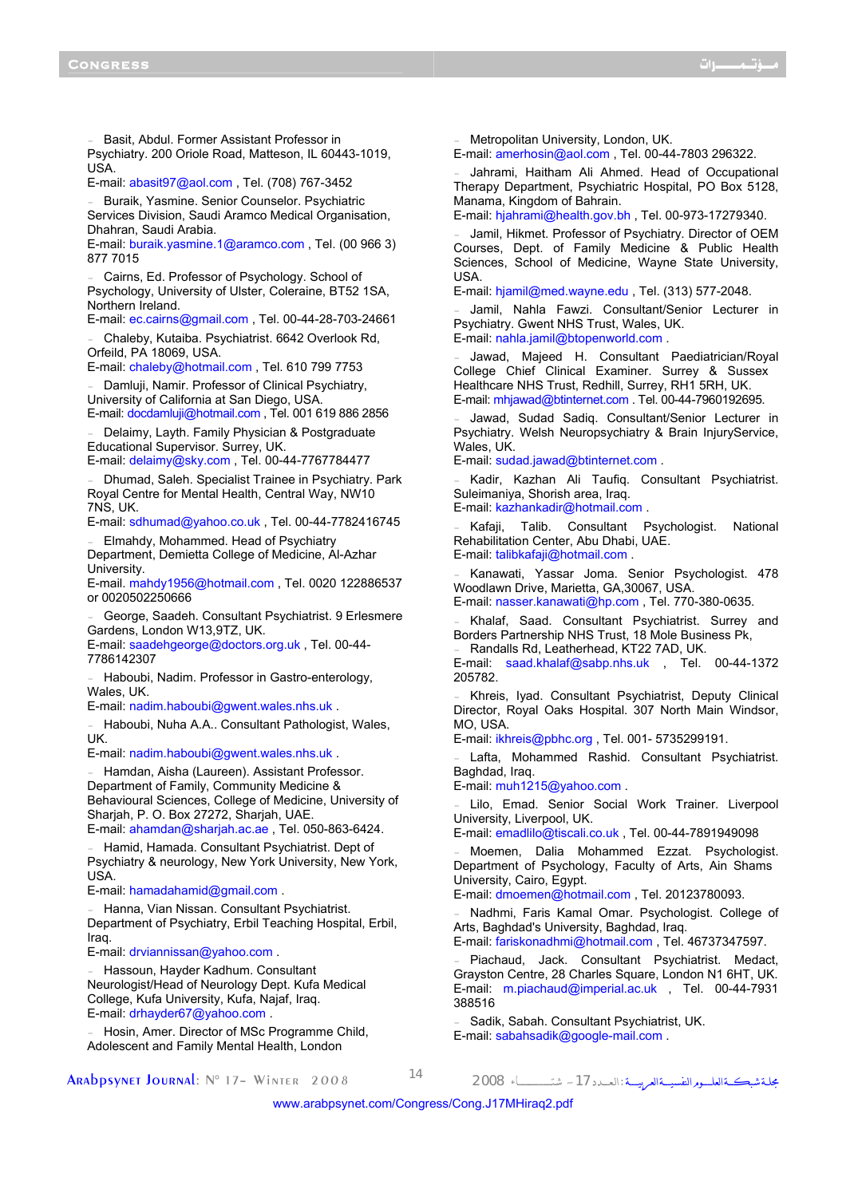- Basit, Abdul. Former Assistant Professor in Psychiatry. 200 Oriole Road, Matteson, IL 60443-1019, USA.

E-mail: abasit97@aol.com , Tel. (708) 767-3452

Buraik, Yasmine. Senior Counselor. Psychiatric Services Division, Saudi Aramco Medical Organisation, Dhahran, Saudi Arabia.

E-mail: buraik.yasmine.1@aramco.com , Tel. (00 966 3) 877 7015

Cairns, Ed. Professor of Psychology. School of Psychology, University of Ulster, Coleraine, BT52 1SA, Northern Ireland.

E-mail: ec.cairns@gmail.com , Tel. 00-44-28-703-24661

Chaleby, Kutaiba. Psychiatrist. 6642 Overlook Rd. Orfeild, PA 18069, USA.

E-mail: chaleby@hotmail.com , Tel. 610 799 7753

Damluji, Namir. Professor of Clinical Psychiatry, University of California at San Diego, USA.

E-mail: docdamluji@hotmail.com , Tel. 001 619 886 2856

Delaimy, Layth. Family Physician & Postgraduate Educational Supervisor. Surrey, UK.

E-mail: delaimy@sky.com , Tel. 00-44-7767784477

- Dhumad, Saleh. Specialist Trainee in Psychiatry. Park Royal Centre for Mental Health, Central Way, NW10 7NS, UK.

E-mail: sdhumad@yahoo.co.uk , Tel. 00-44-7782416745 - Elmahdy, Mohammed. Head of Psychiatry

Department, Demietta College of Medicine, Al-Azhar University.

E-mail. mahdy1956@hotmail.com , Tel. 0020 122886537 or 0020502250666

George, Saadeh. Consultant Psychiatrist. 9 Erlesmere Gardens, London W13,9TZ, UK.

E-mail: saadehgeorge@doctors.org.uk , Tel. 00-44- 7786142307

Haboubi, Nadim. Professor in Gastro-enterology, Wales, UK.

E-mail: nadim.haboubi@gwent.wales.nhs.uk .

- Haboubi, Nuha A.A.. Consultant Pathologist, Wales, UK.

E-mail: nadim.haboubi@gwent.wales.nhs.uk .

Hamdan, Aisha (Laureen). Assistant Professor. Department of Family, Community Medicine & Behavioural Sciences, College of Medicine, University of Sharjah, P. O. Box 27272, Sharjah, UAE.

E-mail: ahamdan@sharjah.ac.ae , Tel. 050-863-6424.

Hamid, Hamada. Consultant Psychiatrist. Dept of Psychiatry & neurology, New York University, New York, **USA** 

E-mail: hamadahamid@gmail.com .

Hanna, Vian Nissan. Consultant Psychiatrist. Department of Psychiatry, Erbil Teaching Hospital, Erbil, Iraq.

E-mail: drviannissan@yahoo.com .

Hassoun, Hayder Kadhum. Consultant Neurologist/Head of Neurology Dept. Kufa Medical College, Kufa University, Kufa, Najaf, Iraq. E-mail: drhayder67@yahoo.com .

Hosin, Amer. Director of MSc Programme Child, Adolescent and Family Mental Health, London

Metropolitan University, London, UK.

E-mail: amerhosin@aol.com , Tel. 00-44-7803 296322.

Jahrami, Haitham Ali Ahmed. Head of Occupational Therapy Department, Psychiatric Hospital, PO Box 5128, Manama, Kingdom of Bahrain.

E-mail: hjahrami@health.gov.bh , Tel. 00-973-17279340.

Jamil, Hikmet. Professor of Psychiatry. Director of OEM Courses, Dept. of Family Medicine & Public Health Sciences, School of Medicine, Wayne State University, USA.

E-mail: hjamil@med.wayne.edu , Tel. (313) 577-2048.

Jamil, Nahla Fawzi. Consultant/Senior Lecturer in Psychiatry. Gwent NHS Trust, Wales, UK. E-mail: nahla.jamil@btopenworld.com .

Jawad, Majeed H. Consultant Paediatrician/Royal College Chief Clinical Examiner. Surrey & Sussex Healthcare NHS Trust, Redhill, Surrey, RH1 5RH, UK. E-mail: mhjawad@btinternet.com . Tel. 00-44-7960192695.

Jawad, Sudad Sadiq. Consultant/Senior Lecturer in Psychiatry. Welsh Neuropsychiatry & Brain InjuryService, Wales, UK.

E-mail: sudad.jawad@btinternet.com .

Kadir, Kazhan Ali Taufig. Consultant Psychiatrist. Suleimaniya, Shorish area, Iraq.

E-mail: kazhankadir@hotmail.com .

Kafaji, Talib. Consultant Psychologist. National Rehabilitation Center, Abu Dhabi, UAE. E-mail: talibkafaji@hotmail.com .

Kanawati, Yassar Joma. Senior Psychologist. 478 Woodlawn Drive, Marietta, GA,30067, USA.

E-mail: nasser.kanawati@hp.com , Tel. 770-380-0635.

Khalaf, Saad. Consultant Psychiatrist. Surrey and Borders Partnership NHS Trust, 18 Mole Business Pk,

Randalls Rd, Leatherhead, KT22 7AD, UK. E-mail: saad.khalaf@sabp.nhs.uk , Tel. 00-44-1372 205782.

- Khreis, Iyad. Consultant Psychiatrist, Deputy Clinical Director, Royal Oaks Hospital. 307 North Main Windsor, MO, USA.

E-mail: ikhreis@pbhc.org , Tel. 001- 5735299191.

Lafta, Mohammed Rashid. Consultant Psychiatrist. Baghdad, Iraq.

E-mail: muh1215@yahoo.com .

Lilo, Emad. Senior Social Work Trainer. Liverpool University, Liverpool, UK.

E-mail: emadlilo@tiscali.co.uk , Tel. 00-44-7891949098

Moemen, Dalia Mohammed Ezzat. Psychologist. Department of Psychology, Faculty of Arts, Ain Shams University, Cairo, Egypt.

E-mail: dmoemen@hotmail.com , Tel. 20123780093.

Nadhmi, Faris Kamal Omar. Psychologist. College of Arts, Baghdad's University, Baghdad, Iraq.

E-mail: fariskonadhmi@hotmail.com , Tel. 46737347597.

Piachaud, Jack. Consultant Psychiatrist. Medact, Grayston Centre, 28 Charles Square, London N1 6HT, UK. E-mail: m.piachaud@imperial.ac.uk , Tel. 00-44-7931 388516

Sadik, Sabah. Consultant Psychiatrist, UK. E-mail: sabahsadik@google-mail.com .

مجلــة شبكـــةالعلــــــومالنفسيــــةالعربيـــــة :الـعــــدد-<sup>17</sup> شتــــــــــــــــــــاء <sup>2008</sup> <sup>14</sup> 2008 Winter– <sup>17</sup> °N :Journal Arabpsynet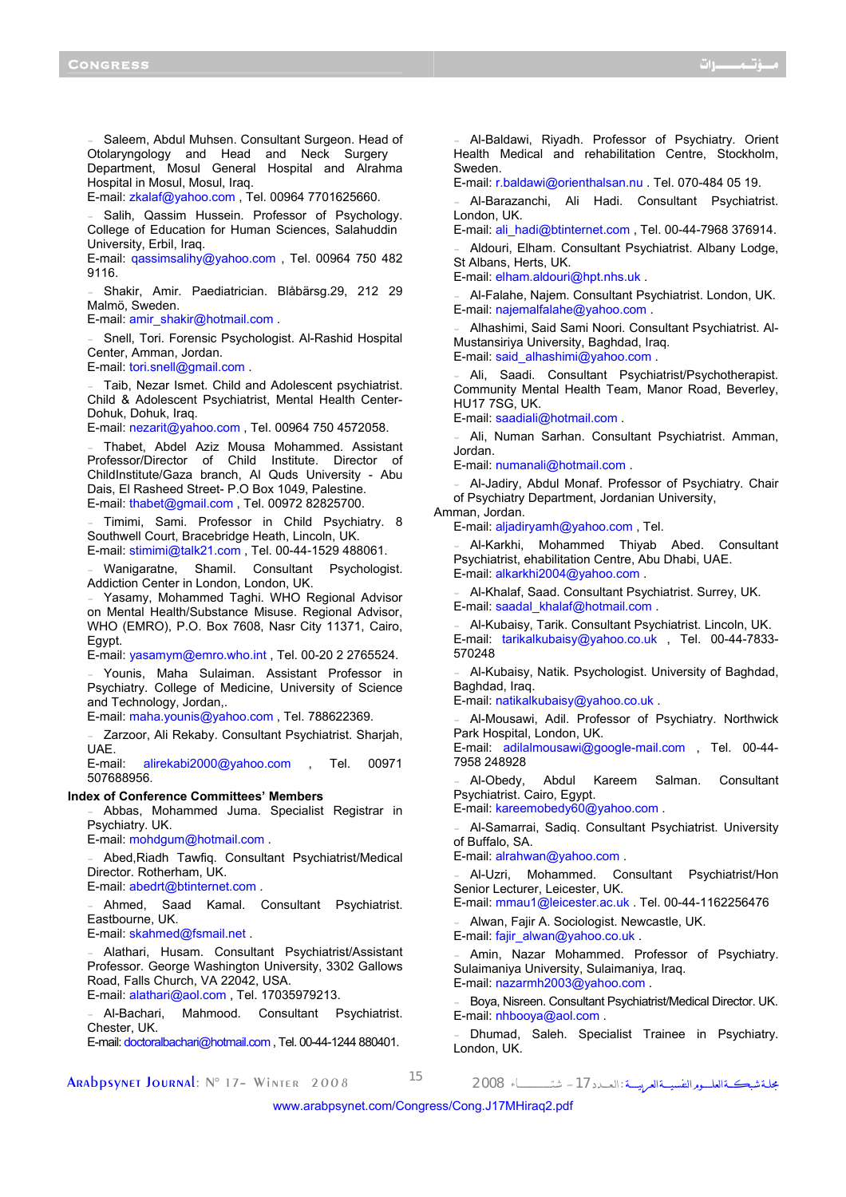Saleem, Abdul Muhsen. Consultant Surgeon. Head of Otolaryngology and Head and Neck Surgery Department, Mosul General Hospital and Alrahma Hospital in Mosul, Mosul, Iraq.

E-mail: zkalaf@yahoo.com , Tel. 00964 7701625660.

Salih, Qassim Hussein. Professor of Psychology. College of Education for Human Sciences, Salahuddin University, Erbil, Iraq.

E-mail: qassimsalihy@yahoo.com , Tel. 00964 750 482 9116.

- Shakir, Amir. Paediatrician. Blåbärsg.29, 212 29 Malmö, Sweden.

E-mail: amir\_shakir@hotmail.com .

Snell, Tori. Forensic Psychologist. Al-Rashid Hospital Center, Amman, Jordan.

E-mail: tori.snell@gmail.com .

Taib, Nezar Ismet. Child and Adolescent psychiatrist. Child & Adolescent Psychiatrist, Mental Health Center-Dohuk, Dohuk, Iraq.

E-mail: nezarit@yahoo.com , Tel. 00964 750 4572058.

Thabet, Abdel Aziz Mousa Mohammed. Assistant Professor/Director of Child Institute. Director of ChildInstitute/Gaza branch, Al Quds University - Abu Dais, El Rasheed Street- P.O Box 1049, Palestine. E-mail: thabet@gmail.com , Tel. 00972 82825700.

Timimi, Sami. Professor in Child Psychiatry. 8 Southwell Court, Bracebridge Heath, Lincoln, UK. E-mail: stimimi@talk21.com , Tel. 00-44-1529 488061.

Wanigaratne, Shamil. Consultant Psychologist. Addiction Center in London, London, UK.

Yasamy, Mohammed Taghi. WHO Regional Advisor on Mental Health/Substance Misuse. Regional Advisor, WHO (EMRO), P.O. Box 7608, Nasr City 11371, Cairo, Egypt.

E-mail: yasamym@emro.who.int , Tel. 00-20 2 2765524.

- Younis, Maha Sulaiman. Assistant Professor in Psychiatry. College of Medicine, University of Science and Technology, Jordan,.

E-mail: maha.younis@yahoo.com , Tel. 788622369.

Zarzoor, Ali Rekaby. Consultant Psychiatrist. Sharjah, UAE.

E-mail: alirekabi2000@yahoo.com , Tel. 00971 507688956.

**Index of Conference Committees' Members** 

- Abbas, Mohammed Juma. Specialist Registrar in Psychiatry. UK.

E-mail: mohdgum@hotmail.com .

- Abed,Riadh Tawfiq. Consultant Psychiatrist/Medical Director. Rotherham, UK.

E-mail: abedrt@btinternet.com .

Ahmed, Saad Kamal. Consultant Psychiatrist. Eastbourne, UK.

E-mail: skahmed@fsmail.net .

Alathari, Husam. Consultant Psychiatrist/Assistant Professor. George Washington University, 3302 Gallows Road, Falls Church, VA 22042, USA. E-mail: alathari@aol.com , Tel. 17035979213.

Al-Bachari, Mahmood. Consultant Psychiatrist. Chester, UK. E-mail: doctoralbachari@hotmail.com , Tel. 00-44-1244 880401.

مجلــة شبكـــةالعلــــــومالنفسيــــةالعربيـــــة :الـعــــدد-<sup>17</sup> شتــــــــــــــــــــاء <sup>2008</sup> <sup>15</sup> 2008 Winter– <sup>17</sup> °N :Journal Arabpsynet

- Al-Baldawi, Riyadh. Professor of Psychiatry. Orient Health Medical and rehabilitation Centre, Stockholm, Sweden.

E-mail: r.baldawi@orienthalsan.nu . Tel. 070-484 05 19.

- Al-Barazanchi, Ali Hadi. Consultant Psychiatrist. London, UK.

E-mail: ali\_hadi@btinternet.com , Tel. 00-44-7968 376914.

Aldouri, Elham. Consultant Psychiatrist. Albany Lodge, St Albans, Herts, UK.

E-mail: elham.aldouri@hpt.nhs.uk .

Al-Falahe, Najem. Consultant Psychiatrist. London, UK. E-mail: najemalfalahe@yahoo.com .

- Alhashimi, Said Sami Noori. Consultant Psychiatrist. Al-Mustansiriya University, Baghdad, Iraq.

E-mail: said\_alhashimi@yahoo.com .

Ali, Saadi. Consultant Psychiatrist/Psychotherapist. Community Mental Health Team, Manor Road, Beverley, HU17 7SG, UK.

E-mail: saadiali@hotmail.com .

Ali, Numan Sarhan. Consultant Psychiatrist. Amman, Jordan.

E-mail: numanali@hotmail.com .

Al-Jadiry, Abdul Monaf. Professor of Psychiatry. Chair of Psychiatry Department, Jordanian University,

Amman, Jordan.

E-mail: aljadiryamh@yahoo.com , Tel.

- Al-Karkhi, Mohammed Thiyab Abed. Consultant Psychiatrist, ehabilitation Centre, Abu Dhabi, UAE. E-mail: alkarkhi2004@yahoo.com .

- Al-Khalaf, Saad. Consultant Psychiatrist. Surrey, UK. E-mail: saadal\_khalaf@hotmail.com .

- Al-Kubaisy, Tarik. Consultant Psychiatrist. Lincoln, UK. E-mail: tarikalkubaisy@yahoo.co.uk , Tel. 00-44-7833- 570248

- Al-Kubaisy, Natik. Psychologist. University of Baghdad, Baghdad, Iraq.

E-mail: natikalkubaisy@yahoo.co.uk .

- Al-Mousawi, Adil. Professor of Psychiatry. Northwick Park Hospital, London, UK.

E-mail: adilalmousawi@google-mail.com , Tel. 00-44- 7958 248928

Al-Obedy, Abdul Kareem Salman. Consultant Psychiatrist. Cairo, Egypt.

E-mail: kareemobedy60@yahoo.com .

- Al-Samarrai, Sadiq. Consultant Psychiatrist. University of Buffalo, SA.

E-mail: alrahwan@yahoo.com .

- Al-Uzri, Mohammed. Consultant Psychiatrist/Hon Senior Lecturer, Leicester, UK.

E-mail: mmau1@leicester.ac.uk . Tel. 00-44-1162256476

- Alwan, Fajir A. Sociologist. Newcastle, UK.

E-mail: fajir\_alwan@yahoo.co.uk .

Amin, Nazar Mohammed. Professor of Psychiatry. Sulaimaniya University, Sulaimaniya, Iraq. E-mail: nazarmh2003@yahoo.com .

Boya, Nisreen. Consultant Psychiatrist/Medical Director. UK. E-mail: nhbooya@aol.com .

Dhumad, Saleh. Specialist Trainee in Psychiatry. London, UK.